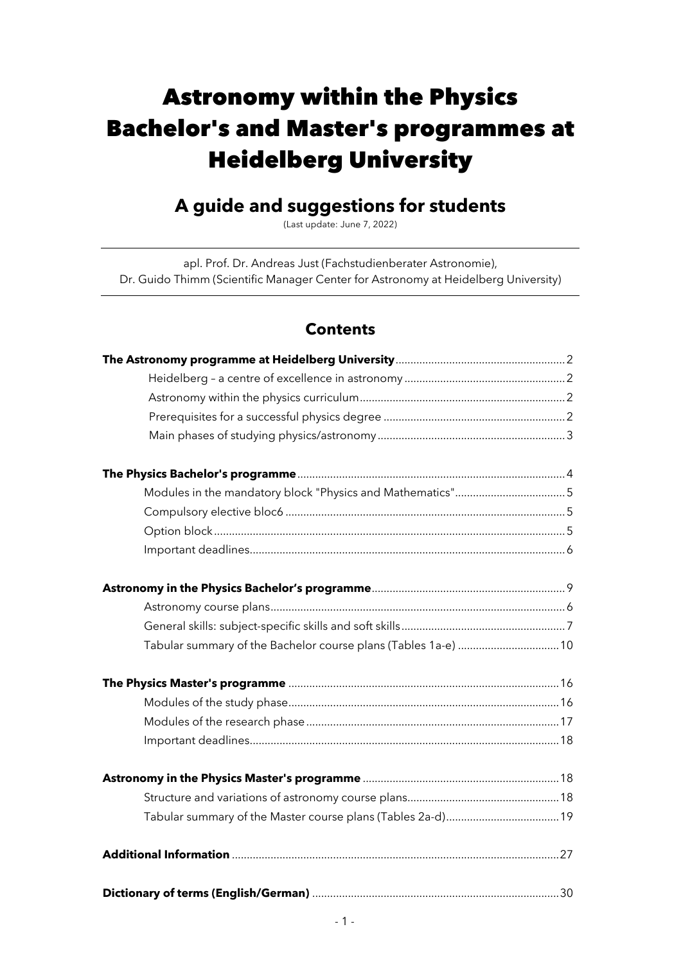# Astronomy within the Physics Bachelor's and Master's programmes at Heidelberg University

## **A guide and suggestions for students**

(Last update: June 7, 2022)

apl. Prof. Dr. Andreas Just (Fachstudienberater Astronomie), Dr. Guido Thimm (Scientific Manager Center for Astronomy at Heidelberg University)

### **Contents**

| Tabular summary of the Bachelor course plans (Tables 1a-e)  10 |  |
|----------------------------------------------------------------|--|
|                                                                |  |
|                                                                |  |
|                                                                |  |
|                                                                |  |
|                                                                |  |
|                                                                |  |
|                                                                |  |
|                                                                |  |
|                                                                |  |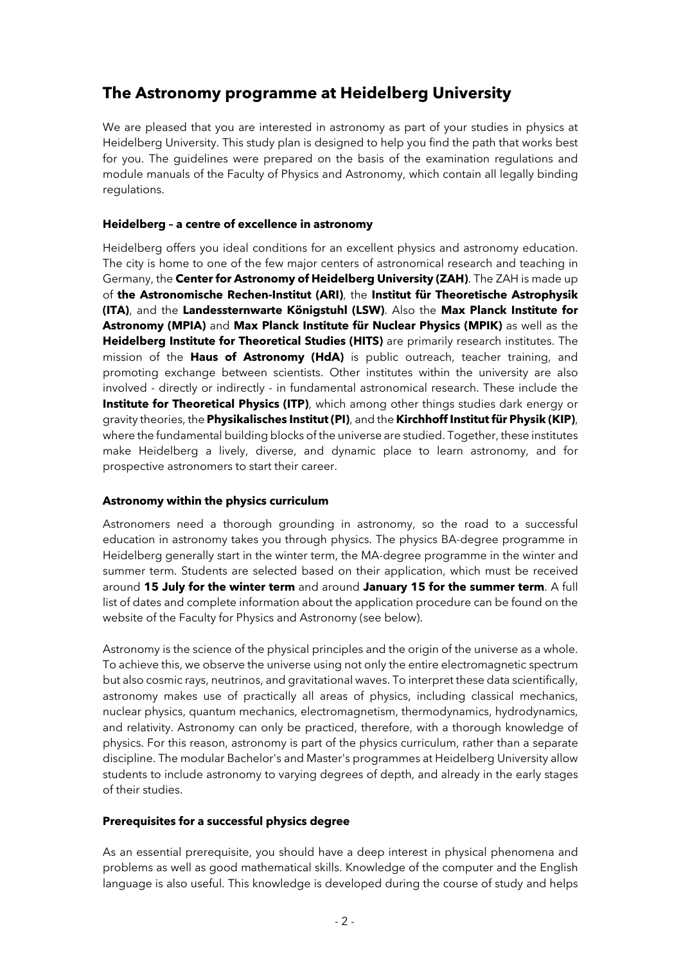### **The Astronomy programme at Heidelberg University**

We are pleased that you are interested in astronomy as part of your studies in physics at Heidelberg University. This study plan is designed to help you find the path that works best for you. The guidelines were prepared on the basis of the examination regulations and module manuals of the Faculty of Physics and Astronomy, which contain all legally binding regulations.

#### **Heidelberg – a centre of excellence in astronomy**

Heidelberg offers you ideal conditions for an excellent physics and astronomy education. The city is home to one of the few major centers of astronomical research and teaching in Germany, the **Center for Astronomy of Heidelberg University (ZAH)**. The ZAH is made up of **the Astronomische Rechen-Institut (ARI)**, the **Institut für Theoretische Astrophysik (ITA)**, and the **Landessternwarte Königstuhl (LSW)**. Also the **Max Planck Institute for Astronomy (MPIA)** and **Max Planck Institute für Nuclear Physics (MPIK)** as well as the **Heidelberg Institute for Theoretical Studies (HITS)** are primarily research institutes. The mission of the **Haus of Astronomy (HdA)** is public outreach, teacher training, and promoting exchange between scientists. Other institutes within the university are also involved - directly or indirectly - in fundamental astronomical research. These include the **Institute for Theoretical Physics (ITP)**, which among other things studies dark energy or gravity theories, the **Physikalisches Institut (PI)**, and the **Kirchhoff Institut für Physik (KIP)**, where the fundamental building blocks of the universe are studied. Together, these institutes make Heidelberg a lively, diverse, and dynamic place to learn astronomy, and for prospective astronomers to start their career.

#### **Astronomy within the physics curriculum**

Astronomers need a thorough grounding in astronomy, so the road to a successful education in astronomy takes you through physics. The physics BA-degree programme in Heidelberg generally start in the winter term, the MA-degree programme in the winter and summer term. Students are selected based on their application, which must be received around **15 July for the winter term** and around **January 15 for the summer term**. A full list of dates and complete information about the application procedure can be found on the website of the Faculty for Physics and Astronomy (see below).

Astronomy is the science of the physical principles and the origin of the universe as a whole. To achieve this, we observe the universe using not only the entire electromagnetic spectrum but also cosmic rays, neutrinos, and gravitational waves. To interpret these data scientifically, astronomy makes use of practically all areas of physics, including classical mechanics, nuclear physics, quantum mechanics, electromagnetism, thermodynamics, hydrodynamics, and relativity. Astronomy can only be practiced, therefore, with a thorough knowledge of physics. For this reason, astronomy is part of the physics curriculum, rather than a separate discipline. The modular Bachelor's and Master's programmes at Heidelberg University allow students to include astronomy to varying degrees of depth, and already in the early stages of their studies.

#### **Prerequisites for a successful physics degree**

As an essential prerequisite, you should have a deep interest in physical phenomena and problems as well as good mathematical skills. Knowledge of the computer and the English language is also useful. This knowledge is developed during the course of study and helps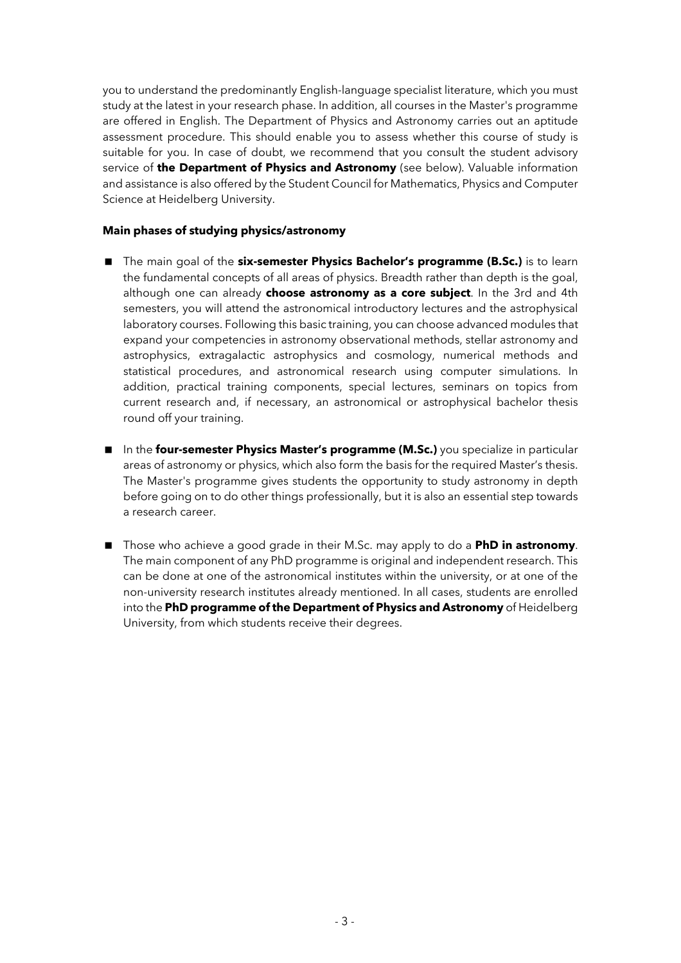you to understand the predominantly English-language specialist literature, which you must study at the latest in your research phase. In addition, all courses in the Master's programme are offered in English. The Department of Physics and Astronomy carries out an aptitude assessment procedure. This should enable you to assess whether this course of study is suitable for you. In case of doubt, we recommend that you consult the student advisory service of **the Department of Physics and Astronomy** (see below). Valuable information and assistance is also offered by the Student Council for Mathematics, Physics and Computer Science at Heidelberg University.

#### **Main phases of studying physics/astronomy**

- < The main goal of the **six-semester Physics Bachelor's programme (B.Sc.)** is to learn the fundamental concepts of all areas of physics. Breadth rather than depth is the goal, although one can already **choose astronomy as a core subject**. In the 3rd and 4th semesters, you will attend the astronomical introductory lectures and the astrophysical laboratory courses. Following this basic training, you can choose advanced modules that expand your competencies in astronomy observational methods, stellar astronomy and astrophysics, extragalactic astrophysics and cosmology, numerical methods and statistical procedures, and astronomical research using computer simulations. In addition, practical training components, special lectures, seminars on topics from current research and, if necessary, an astronomical or astrophysical bachelor thesis round off your training.
- < In the **four-semester Physics Master's programme (M.Sc.)** you specialize in particular areas of astronomy or physics, which also form the basis for the required Master's thesis. The Master's programme gives students the opportunity to study astronomy in depth before going on to do other things professionally, but it is also an essential step towards a research career.
- Those who achieve a good grade in their M.Sc. may apply to do a **PhD in astronomy**. The main component of any PhD programme is original and independent research. This can be done at one of the astronomical institutes within the university, or at one of the non-university research institutes already mentioned. In all cases, students are enrolled into the **PhD programme of the Department of Physics and Astronomy** of Heidelberg University, from which students receive their degrees.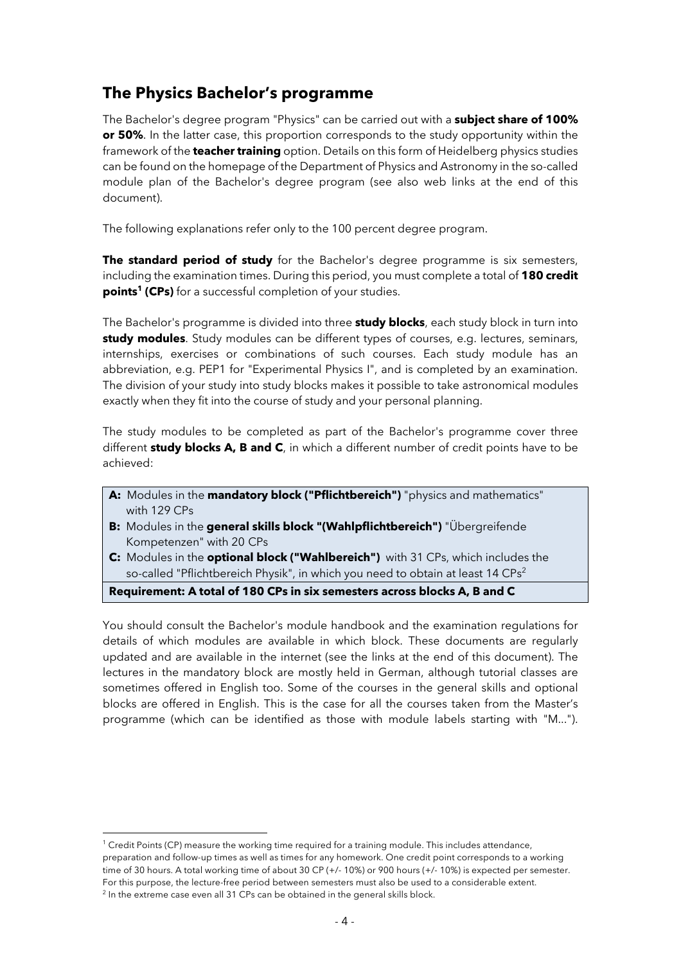### **The Physics Bachelor's programme**

The Bachelor's degree program "Physics" can be carried out with a **subject share of 100% or 50%**. In the latter case, this proportion corresponds to the study opportunity within the framework of the **teacher training** option. Details on this form of Heidelberg physics studies can be found on the homepage of the Department of Physics and Astronomy in the so-called module plan of the Bachelor's degree program (see also web links at the end of this document).

The following explanations refer only to the 100 percent degree program.

**The standard period of study** for the Bachelor's degree programme is six semesters, including the examination times. During this period, you must complete a total of **180 credit points<sup>1</sup> (CPs)** for a successful completion of your studies.

The Bachelor's programme is divided into three **study blocks**, each study block in turn into **study modules**. Study modules can be different types of courses, e.g. lectures, seminars, internships, exercises or combinations of such courses. Each study module has an abbreviation, e.g. PEP1 for "Experimental Physics I", and is completed by an examination. The division of your study into study blocks makes it possible to take astronomical modules exactly when they fit into the course of study and your personal planning.

The study modules to be completed as part of the Bachelor's programme cover three different **study blocks A, B and C**, in which a different number of credit points have to be achieved:

- **A:** Modules in the **mandatory block ("Pflichtbereich")** "physics and mathematics" with 129 CPs
- **B:** Modules in the **general skills block "(Wahlpflichtbereich")** "Übergreifende Kompetenzen" with 20 CPs
- **C:** Modules in the **optional block ("Wahlbereich")** with 31 CPs, which includes the so-called "Pflichtbereich Physik", in which you need to obtain at least 14 CPs<sup>2</sup>

#### **Requirement: A total of 180 CPs in six semesters across blocks A, B and C**

You should consult the Bachelor's module handbook and the examination regulations for details of which modules are available in which block. These documents are regularly updated and are available in the internet (see the links at the end of this document). The lectures in the mandatory block are mostly held in German, although tutorial classes are sometimes offered in English too. Some of the courses in the general skills and optional blocks are offered in English. This is the case for all the courses taken from the Master's programme (which can be identified as those with module labels starting with "M...").

<sup>1</sup> Credit Points (CP) measure the working time required for a training module. This includes attendance, preparation and follow-up times as well as times for any homework. One credit point corresponds to a working time of 30 hours. A total working time of about 30 CP (+/- 10%) or 900 hours (+/- 10%) is expected per semester. For this purpose, the lecture-free period between semesters must also be used to a considerable extent.  $\frac{2}{10}$  In the extreme case even all 31 CPs can be obtained in the general skills block.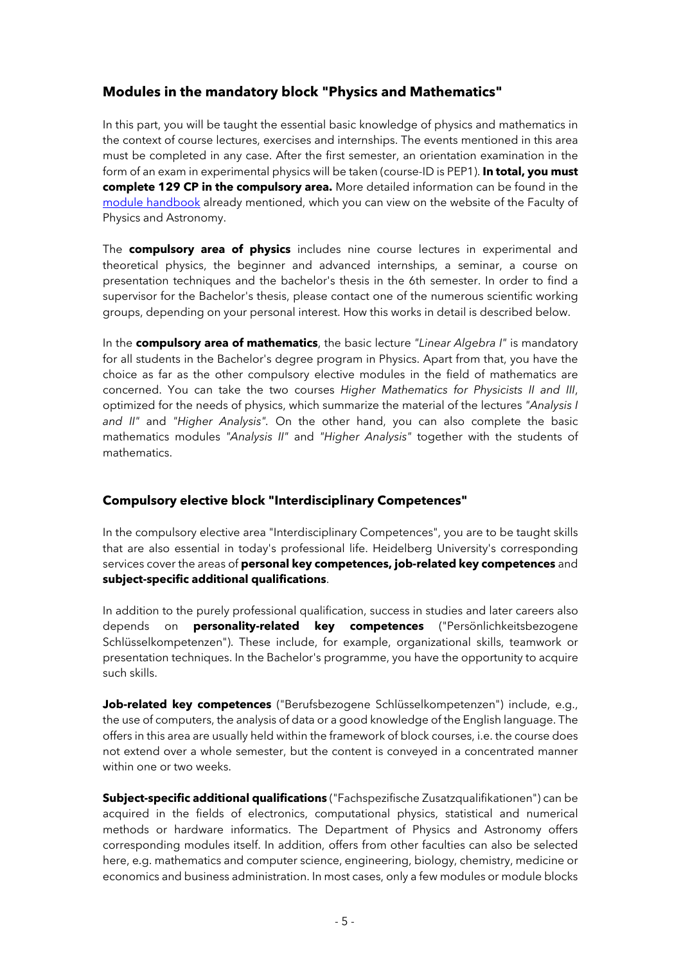#### **Modules in the mandatory block "Physics and Mathematics"**

In this part, you will be taught the essential basic knowledge of physics and mathematics in the context of course lectures, exercises and internships. The events mentioned in this area must be completed in any case. After the first semester, an orientation examination in the form of an exam in experimental physics will be taken (course-ID is PEP1). **In total, you must complete 129 CP in the compulsory area.** More detailed information can be found in the module handbook already mentioned, which you can view on the website of the Faculty of Physics and Astronomy.

The **compulsory area of physics** includes nine course lectures in experimental and theoretical physics, the beginner and advanced internships, a seminar, a course on presentation techniques and the bachelor's thesis in the 6th semester. In order to find a supervisor for the Bachelor's thesis, please contact one of the numerous scientific working groups, depending on your personal interest. How this works in detail is described below.

In the **compulsory area of mathematics**, the basic lecture *"Linear Algebra I"* is mandatory for all students in the Bachelor's degree program in Physics. Apart from that, you have the choice as far as the other compulsory elective modules in the field of mathematics are concerned. You can take the two courses *Higher Mathematics for Physicists II and III*, optimized for the needs of physics, which summarize the material of the lectures *"Analysis I and II"* and *"Higher Analysis".* On the other hand, you can also complete the basic mathematics modules *"Analysis II"* and *"Higher Analysis"* together with the students of mathematics.

#### **Compulsory elective block "Interdisciplinary Competences"**

In the compulsory elective area "Interdisciplinary Competences", you are to be taught skills that are also essential in today's professional life. Heidelberg University's corresponding services cover the areas of **personal key competences, job-related key competences** and **subject-specific additional qualifications**.

In addition to the purely professional qualification, success in studies and later careers also depends on **personality-related key competences** ("Persönlichkeitsbezogene Schlüsselkompetenzen"). These include, for example, organizational skills, teamwork or presentation techniques. In the Bachelor's programme, you have the opportunity to acquire such skills.

**Job-related key competences** ("Berufsbezogene Schlüsselkompetenzen") include, e.g., the use of computers, the analysis of data or a good knowledge of the English language. The offers in this area are usually held within the framework of block courses, i.e. the course does not extend over a whole semester, but the content is conveyed in a concentrated manner within one or two weeks.

**Subject-specific additional qualifications** ("Fachspezifische Zusatzqualifikationen") can be acquired in the fields of electronics, computational physics, statistical and numerical methods or hardware informatics. The Department of Physics and Astronomy offers corresponding modules itself. In addition, offers from other faculties can also be selected here, e.g. mathematics and computer science, engineering, biology, chemistry, medicine or economics and business administration. In most cases, only a few modules or module blocks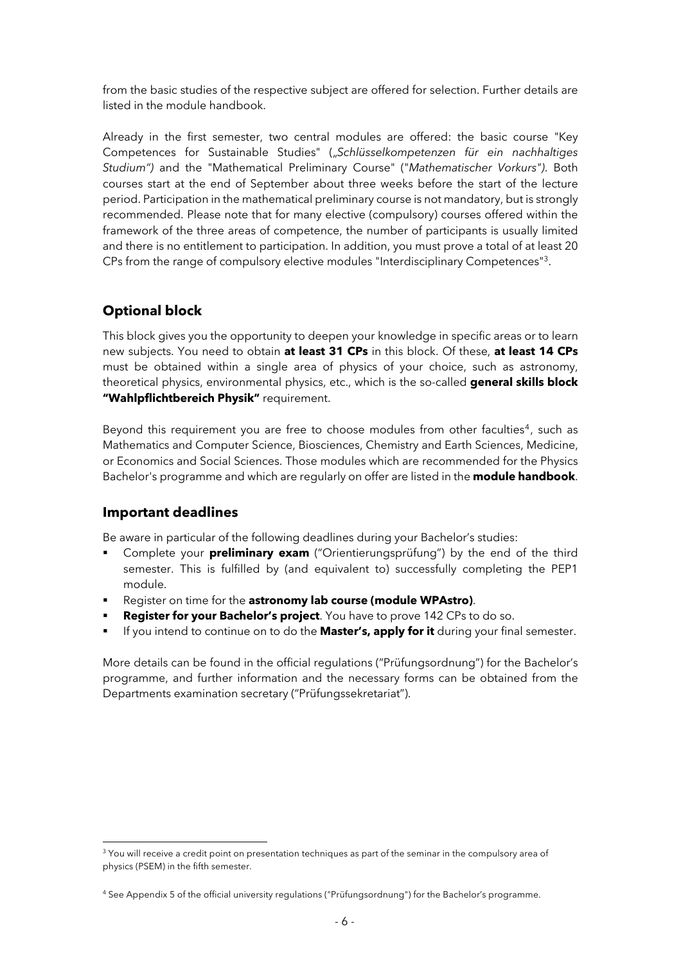from the basic studies of the respective subject are offered for selection. Further details are listed in the module handbook.

Already in the first semester, two central modules are offered: the basic course "Key Competences for Sustainable Studies" ("*Schlüsselkompetenzen für ein nachhaltiges Studium")* and the "Mathematical Preliminary Course" ("*Mathematischer Vorkurs")*. Both courses start at the end of September about three weeks before the start of the lecture period. Participation in the mathematical preliminary course is not mandatory, but is strongly recommended. Please note that for many elective (compulsory) courses offered within the framework of the three areas of competence, the number of participants is usually limited and there is no entitlement to participation. In addition, you must prove a total of at least 20 CPs from the range of compulsory elective modules "Interdisciplinary Competences"3.

### **Optional block**

This block gives you the opportunity to deepen your knowledge in specific areas or to learn new subjects. You need to obtain **at least 31 CPs** in this block. Of these, **at least 14 CPs** must be obtained within a single area of physics of your choice, such as astronomy, theoretical physics, environmental physics, etc., which is the so-called **general skills block "Wahlpflichtbereich Physik"** requirement.

Beyond this requirement you are free to choose modules from other faculties<sup>4</sup>, such as Mathematics and Computer Science, Biosciences, Chemistry and Earth Sciences, Medicine, or Economics and Social Sciences. Those modules which are recommended for the Physics Bachelor's programme and which are regularly on offer are listed in the **module handbook**.

#### **Important deadlines**

Be aware in particular of the following deadlines during your Bachelor's studies:

- § Complete your **preliminary exam** ("Orientierungsprüfung") by the end of the third semester. This is fulfilled by (and equivalent to) successfully completing the PEP1 module.
- § Register on time for the **astronomy lab course (module WPAstro)**.
- § **Register for your Bachelor's project**. You have to prove 142 CPs to do so.
- § If you intend to continue on to do the **Master's, apply for it** during your final semester.

More details can be found in the official regulations ("Prüfungsordnung") for the Bachelor's programme, and further information and the necessary forms can be obtained from the Departments examination secretary ("Prüfungssekretariat").

<sup>&</sup>lt;sup>3</sup> You will receive a credit point on presentation techniques as part of the seminar in the compulsory area of physics (PSEM) in the fifth semester.

<sup>4</sup> See Appendix 5 of the official university regulations ("Prüfungsordnung") for the Bachelor's programme.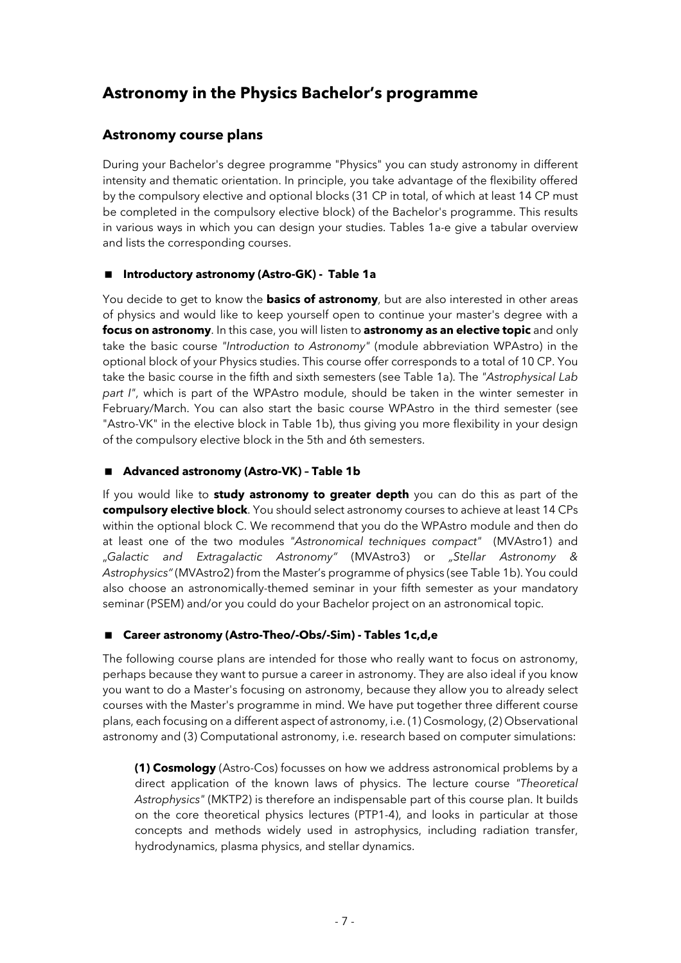### **Astronomy in the Physics Bachelor's programme**

#### **Astronomy course plans**

During your Bachelor's degree programme "Physics" you can study astronomy in different intensity and thematic orientation. In principle, you take advantage of the flexibility offered by the compulsory elective and optional blocks (31 CP in total, of which at least 14 CP must be completed in the compulsory elective block) of the Bachelor's programme. This results in various ways in which you can design your studies. Tables 1a-e give a tabular overview and lists the corresponding courses.

#### < **Introductory astronomy (Astro-GK) - Table 1a**

You decide to get to know the **basics of astronomy**, but are also interested in other areas of physics and would like to keep yourself open to continue your master's degree with a **focus on astronomy**. In this case, you will listen to **astronomy as an elective topic** and only take the basic course *"Introduction to Astronomy"* (module abbreviation WPAstro) in the optional block of your Physics studies. This course offer corresponds to a total of 10 CP. You take the basic course in the fifth and sixth semesters (see Table 1a). The *"Astrophysical Lab part I"*, which is part of the WPAstro module, should be taken in the winter semester in February/March. You can also start the basic course WPAstro in the third semester (see "Astro-VK" in the elective block in Table 1b), thus giving you more flexibility in your design of the compulsory elective block in the 5th and 6th semesters.

#### ■ Advanced astronomy (Astro-VK) - Table 1b

If you would like to **study astronomy to greater depth** you can do this as part of the **compulsory elective block**. You should select astronomy courses to achieve at least 14 CPs within the optional block C. We recommend that you do the WPAstro module and then do at least one of the two modules *"Astronomical techniques compact"* (MVAstro1) and "*Galactic and Extragalactic Astronomy"* (MVAstro3) or *"Stellar Astronomy & Astrophysics"* (MVAstro2) from the Master's programme of physics (see Table 1b). You could also choose an astronomically-themed seminar in your fifth semester as your mandatory seminar (PSEM) and/or you could do your Bachelor project on an astronomical topic.

#### ■ Career astronomy (Astro-Theo/-Obs/-Sim) - Tables 1c,d,e

The following course plans are intended for those who really want to focus on astronomy, perhaps because they want to pursue a career in astronomy. They are also ideal if you know you want to do a Master's focusing on astronomy, because they allow you to already select courses with the Master's programme in mind. We have put together three different course plans, each focusing on a different aspect of astronomy, i.e. (1) Cosmology, (2) Observational astronomy and (3) Computational astronomy, i.e. research based on computer simulations:

**(1) Cosmology** (Astro-Cos) focusses on how we address astronomical problems by a direct application of the known laws of physics. The lecture course *"Theoretical Astrophysics"* (MKTP2) is therefore an indispensable part of this course plan. It builds on the core theoretical physics lectures (PTP1-4), and looks in particular at those concepts and methods widely used in astrophysics, including radiation transfer, hydrodynamics, plasma physics, and stellar dynamics.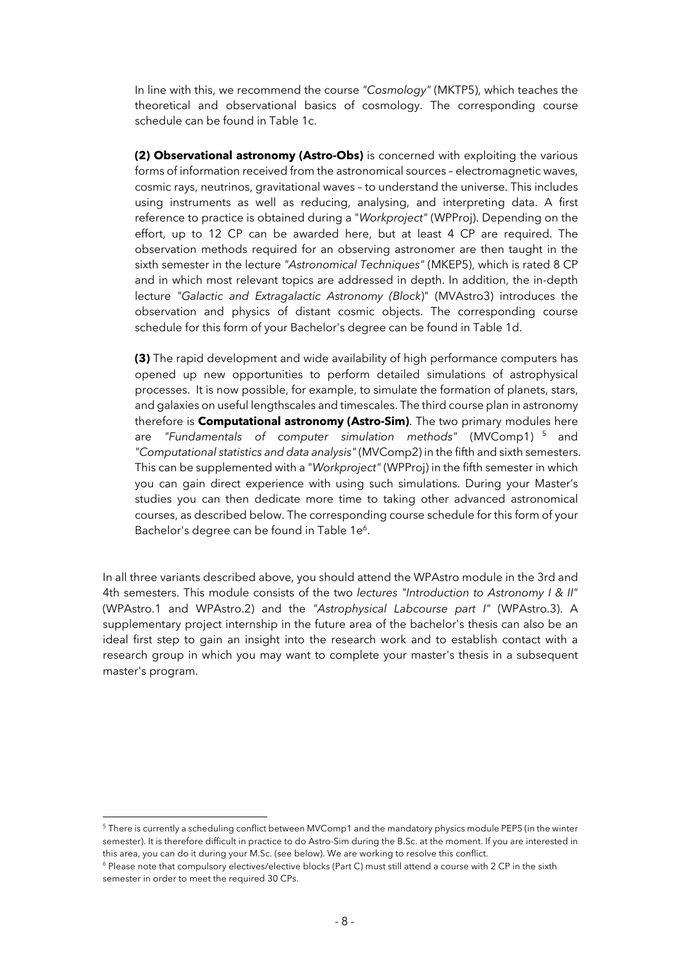In line with this, we recommend the course *"Cosmology"* (MKTP5), which teaches the theoretical and observational basics of cosmology. The corresponding course schedule can be found in Table 1c.

**(2) Observational astronomy (Astro-Obs)** is concerned with exploiting the various forms of information received from the astronomical sources – electromagnetic waves, cosmic rays, neutrinos, gravitational waves – to understand the universe. This includes using instruments as well as reducing, analysing, and interpreting data. A first reference to practice is obtained during a "*Workproject"* (WPProj). Depending on the effort, up to 12 CP can be awarded here, but at least 4 CP are required. The observation methods required for an observing astronomer are then taught in the sixth semester in the lecture *"Astronomical Techniques"* (MKEP5), which is rated 8 CP and in which most relevant topics are addressed in depth. In addition, the in-depth lecture *"Galactic and Extragalactic Astronomy (Block*)" (MVAstro3) introduces the observation and physics of distant cosmic objects. The corresponding course schedule for this form of your Bachelor's degree can be found in Table 1d.

**(3)** The rapid development and wide availability of high performance computers has opened up new opportunities to perform detailed simulations of astrophysical processes. It is now possible, for example, to simulate the formation of planets, stars, and galaxies on useful lengthscales and timescales. The third course plan in astronomy therefore is **Computational astronomy (Astro-Sim)**. The two primary modules here are *"Fundamentals of computer simulation methods"* (MVComp1) <sup>5</sup> and *"Computational statistics and data analysis"* (MVComp2) in the fifth and sixth semesters. This can be supplemented with a "*Workproject"* (WPProj) in the fifth semester in which you can gain direct experience with using such simulations. During your Master's studies you can then dedicate more time to taking other advanced astronomical courses, as described below. The corresponding course schedule for this form of your Bachelor's degree can be found in Table 1e<sup>6</sup>.

In all three variants described above, you should attend the WPAstro module in the 3rd and 4th semesters. This module consists of the two *lectures "Introduction to Astronomy I & II"* (WPAstro.1 and WPAstro.2) and the *"Astrophysical Labcourse part I"* (WPAstro.3). A supplementary project internship in the future area of the bachelor's thesis can also be an ideal first step to gain an insight into the research work and to establish contact with a research group in which you may want to complete your master's thesis in a subsequent master's program.

<sup>&</sup>lt;sup>5</sup> There is currently a scheduling conflict between MVComp1 and the mandatory physics module PEP5 (in the winter semester). It is therefore difficult in practice to do Astro-Sim during the B.Sc. at the moment. If you are interested in this area, you can do it during your M.Sc. (see below). We are working to resolve this conflict.<br><sup>6</sup> Please note that compulsory electives/elective blocks (Part C) must still attend a course with 2 CP in the sixth

semester in order to meet the required 30 CPs.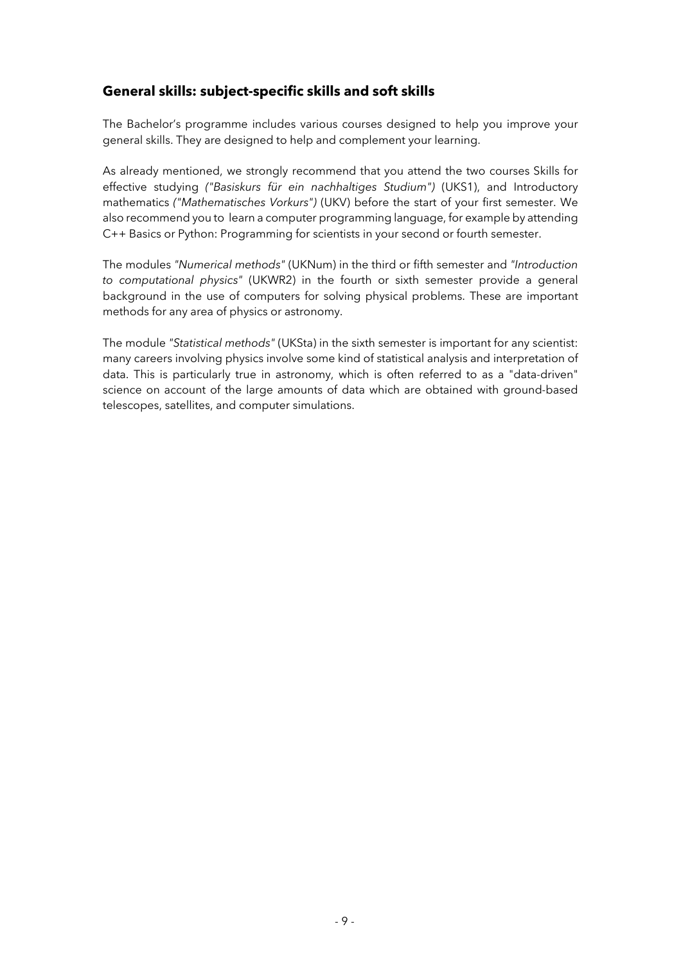#### **General skills: subject-specific skills and soft skills**

The Bachelor's programme includes various courses designed to help you improve your general skills. They are designed to help and complement your learning.

As already mentioned, we strongly recommend that you attend the two courses Skills for effective studying *("Basiskurs für ein nachhaltiges Studium")* (UKS1), and Introductory mathematics *("Mathematisches Vorkurs")* (UKV) before the start of your first semester. We also recommend you to learn a computer programming language, for example by attending C++ Basics or Python: Programming for scientists in your second or fourth semester.

The modules *"Numerical methods"* (UKNum) in the third or fifth semester and *"Introduction to computational physics"* (UKWR2) in the fourth or sixth semester provide a general background in the use of computers for solving physical problems. These are important methods for any area of physics or astronomy.

The module *"Statistical methods"* (UKSta) in the sixth semester is important for any scientist: many careers involving physics involve some kind of statistical analysis and interpretation of data. This is particularly true in astronomy, which is often referred to as a "data-driven" science on account of the large amounts of data which are obtained with ground-based telescopes, satellites, and computer simulations.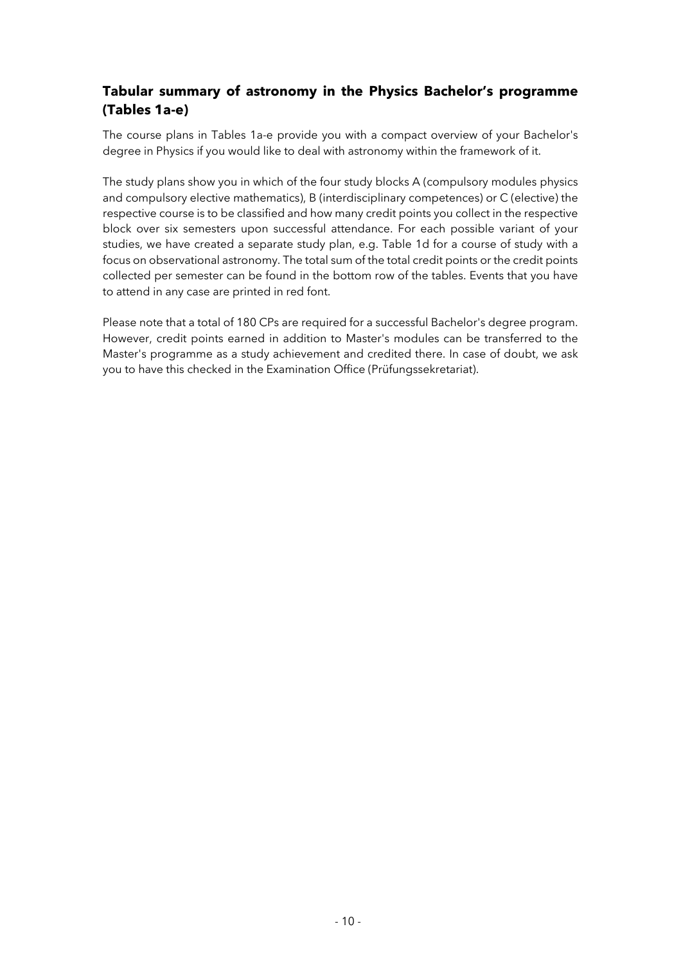### **Tabular summary of astronomy in the Physics Bachelor's programme (Tables 1a-e)**

The course plans in Tables 1a-e provide you with a compact overview of your Bachelor's degree in Physics if you would like to deal with astronomy within the framework of it.

The study plans show you in which of the four study blocks A (compulsory modules physics and compulsory elective mathematics), B (interdisciplinary competences) or C (elective) the respective course is to be classified and how many credit points you collect in the respective block over six semesters upon successful attendance. For each possible variant of your studies, we have created a separate study plan, e.g. Table 1d for a course of study with a focus on observational astronomy. The total sum of the total credit points or the credit points collected per semester can be found in the bottom row of the tables. Events that you have to attend in any case are printed in red font.

Please note that a total of 180 CPs are required for a successful Bachelor's degree program. However, credit points earned in addition to Master's modules can be transferred to the Master's programme as a study achievement and credited there. In case of doubt, we ask you to have this checked in the Examination Office (Prüfungssekretariat).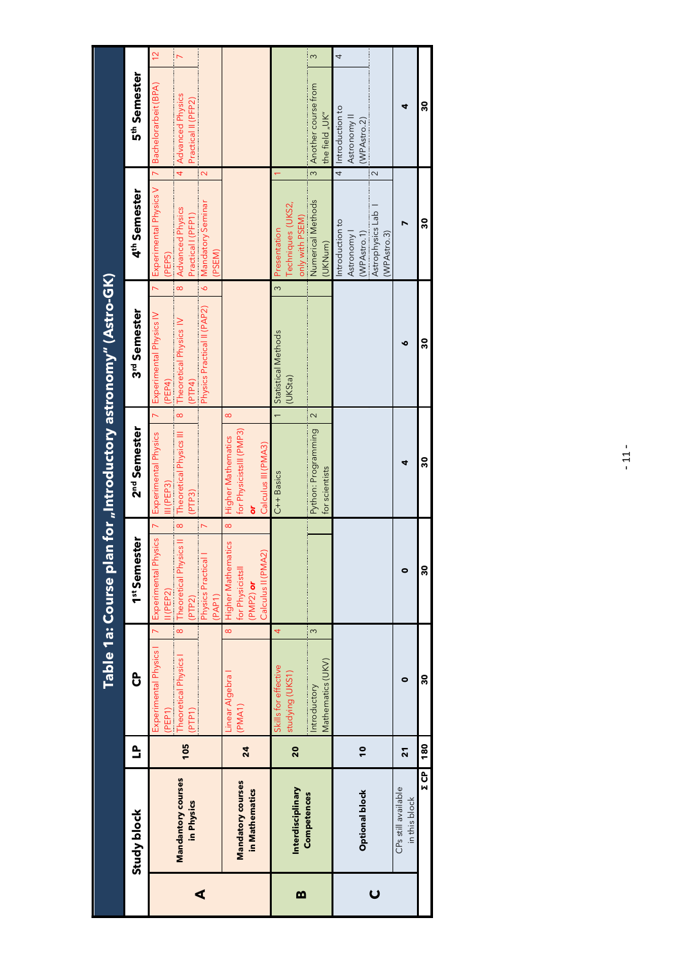|                |                                            |               |                                                                                    |                                                                                                                                                      |                                                                            | Table 1a: Course plan for "Introductory astronomy" (Astro-GK)                                                                                 |                                                                                                                                                                               |                                                                                                                     |  |
|----------------|--------------------------------------------|---------------|------------------------------------------------------------------------------------|------------------------------------------------------------------------------------------------------------------------------------------------------|----------------------------------------------------------------------------|-----------------------------------------------------------------------------------------------------------------------------------------------|-------------------------------------------------------------------------------------------------------------------------------------------------------------------------------|---------------------------------------------------------------------------------------------------------------------|--|
|                | Study block                                | Ê             | င်                                                                                 | 1st Semester                                                                                                                                         | 2 <sup>nd</sup> Semester                                                   | 3rd Semester                                                                                                                                  | 4 <sup>th</sup> Semester                                                                                                                                                      | 5 <sup>th</sup> Semester                                                                                            |  |
| ⋖              | Mandantory courses<br>in Physics           | 105           | $\bf{8}$<br>İ<br>Experimental Physics I<br>Theoretical Physics<br>(PTP1)<br>(PEP1) | $\overline{a}$<br>$\infty$<br>$\triangleright$<br>Experimental Physics<br>Theoretical Physics II<br>Physics Practical<br>I(PEP2)<br>(PAP1)<br>(PTP2) | Experimental Physics<br>Theoretical Physics III<br>$III$ (PEP3)<br>(PTP3)  | Physics Practical II (PAP2)<br>Experimental Physics IV<br>Theoretical Physics IV<br>(PTP4)<br>(PEP4)<br>$\overline{\infty}$<br>$\overline{z}$ | Experimental Physics V 7 Bachelorarbeit (BPA)<br>Mandatory Seminar<br>Advanced Physics<br>Practical I (PFP1)<br>PSEM)<br>(PEP5)<br>$\overline{\circ}$<br>$\overline{\bullet}$ | $\frac{1}{2}$<br>$\triangleright$<br>Advanced Physics<br>Practical II (PFP2)<br>$\overline{4}$<br>$\mathbf{\Omega}$ |  |
|                | <b>Mandatory courses</b><br>in Mathematics | 24            | $\infty$<br>Linear Algebra<br>(PMA1)                                               | $\infty$<br>Higher Mathematics<br>Calculus II (PMA2)<br>for Physicists<br>(PMP2) or                                                                  | for PhysicistsIII (PMP3)<br>Higher Mathematics<br>Calculus III (PMA3)<br>ò | $\infty$                                                                                                                                      |                                                                                                                                                                               |                                                                                                                     |  |
| m              | Interdisciplinary                          | 20            | 4<br>Skills for effective<br>studying (UKS1)                                       |                                                                                                                                                      | $C++$ Basics                                                               | 1 Statistical Methods<br>(UKSta)                                                                                                              | Techniques (UKS2,<br>only with PSEM)<br>Presentation<br>ო                                                                                                                     |                                                                                                                     |  |
|                | Competences                                |               | $\infty$<br>Mathematics (UKV)<br>Introductory                                      |                                                                                                                                                      | $\sim$<br>Python: Programming<br>for scientists                            |                                                                                                                                               | Numerical Methods<br>(UKNum)                                                                                                                                                  | $\infty$<br>Another course from<br>the field "UK"<br>$\frac{1}{3}$                                                  |  |
| $\overline{U}$ | <b>Optional block</b>                      | $\frac{1}{2}$ |                                                                                    |                                                                                                                                                      |                                                                            |                                                                                                                                               | Astrophysics Lab<br>Introduction to<br>(WPAstro.3)<br>Astronomy<br>(WPAstro.1)                                                                                                | 4<br>4 Introduction to<br>Astronomy<br>(WPAstro.2)<br>$\sim$                                                        |  |
|                | CPs still available<br>in this block       | ភ             | $\bullet$                                                                          | 0                                                                                                                                                    | ₫                                                                          | o                                                                                                                                             |                                                                                                                                                                               | ₫                                                                                                                   |  |
|                | $E$ CP                                     | 180           | 30                                                                                 | 30                                                                                                                                                   | 30                                                                         | 30                                                                                                                                            | នី                                                                                                                                                                            | ន្ល                                                                                                                 |  |

- 11 -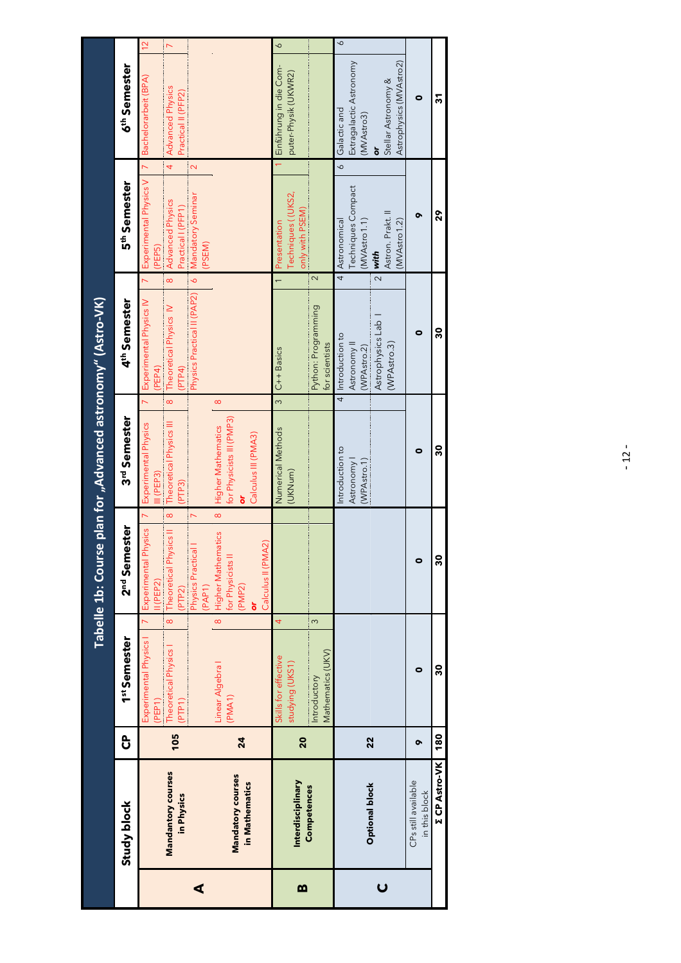|              |                                      |     |                                                                     |                            |                                                                                                     | Tabelle 1b: Course plan for "Advanced astronomy" (Astro-VK)                                                                          |                                                                                                      |                                                                                                                                   |                                                       |                                                                                                      |  |
|--------------|--------------------------------------|-----|---------------------------------------------------------------------|----------------------------|-----------------------------------------------------------------------------------------------------|--------------------------------------------------------------------------------------------------------------------------------------|------------------------------------------------------------------------------------------------------|-----------------------------------------------------------------------------------------------------------------------------------|-------------------------------------------------------|------------------------------------------------------------------------------------------------------|--|
|              | Study block                          | ჭ   | 1 <sup>st</sup> Semester                                            |                            | 2 <sup>nd</sup> Semester                                                                            | 3rd Semester                                                                                                                         | 4 <sup>th</sup> Semester                                                                             | 5 <sup>th</sup> Semester                                                                                                          |                                                       | 6 <sup>th</sup> Semester                                                                             |  |
| ⋖            | Mandantory courses<br>in Physics     | 105 | Experimental Physics I<br>Theoretical Physics I<br>(PEP1)<br>(PTP1) | $\overline{z}$<br>$\infty$ | Experimental Physics<br>Theoretical Physics II<br>Physics Practical<br>(PP2)<br>II (PEP2)<br>(PAP1) | $\infty$<br>$\overline{a}$<br>Theoretical Physics III<br>Experimental Physics<br>III (PEP3)<br>(PP3)<br>$\infty$<br>$\triangleright$ | Physics Practical II (PAP2)<br>Experimental Physics IV<br>Theoretical Physics IV<br>(PEP4)<br>(PTP4) | Experimental Physics V<br>Mandatory Seminar<br>(PEP5)<br>Advanced Physics<br>Practical I (PFP1)<br>(PSEM)<br>$\delta$<br>$\infty$ | $\overline{4}$<br>$\overline{a}$<br>$\mathbf{\Omega}$ | $\frac{2}{3}$<br>$\triangleright$<br>Bachelorarbeit (BPA)<br>Advanced Physics<br>Practical II (PFP2) |  |
|              | Mandatory courses<br>in Mathematics  | 24  | Linear Algebra<br>PMA <sub>1</sub> )                                | ò<br>$\infty$              | Higher Mathematics<br>Calculus II (PMA2)<br>for Physicists II<br>(PMP2)                             | $\infty$<br>for Physicists III (PMP3)<br><b>Higher Mathematics</b><br>Calculus III (PMA3)<br>ō<br>$\infty$                           |                                                                                                      |                                                                                                                                   |                                                       |                                                                                                      |  |
| $\mathbf{m}$ | Interdisciplinary<br>Competences     | 20  | Skills for effective<br>studying (UKS1)<br>Introductory             | 4<br>$\infty$              |                                                                                                     | Numerical Methods<br>(UKNum)                                                                                                         | Python: Programming<br>3 C++ Basics                                                                  | only with PSEM)<br>Techniques ((UKS2,<br>Presentation<br>$\sim$                                                                   |                                                       | $\circ$<br>Einführung in die Com-<br>puter-Physik (UKWR2)                                            |  |
|              |                                      |     | Mathematics (UKV)                                                   |                            |                                                                                                     |                                                                                                                                      | for scientists                                                                                       |                                                                                                                                   |                                                       |                                                                                                      |  |
|              | <b>Optional block</b>                | 22  |                                                                     |                            |                                                                                                     | $\overline{4}$<br>Introduction to<br>Astronomy<br>(WPAstro.1                                                                         | Introduction to<br>Astronomy <sup>II</sup><br>(WPAstro.2)                                            | <b>Techniques Compact</b><br>Astronomical<br>(MVAstro 1.1)<br>$\overline{4}$                                                      | $\circ$                                               | $\delta$<br>Extragalactic Astronomy<br>Galactic and<br>(MVAstro3)                                    |  |
|              |                                      |     |                                                                     |                            |                                                                                                     |                                                                                                                                      | Astrophysics Lab<br>(WPAstro.3)                                                                      | Astron. Prakt. II<br>(MVAstro 1.2)<br>$2$ with                                                                                    | ò                                                     | Astrophysics (MVAstro2)<br>Stellar Astronomy &                                                       |  |
|              | CPs still available<br>in this block | õ   | 0                                                                   |                            | $\bullet$                                                                                           | 0                                                                                                                                    | 0                                                                                                    | ۰                                                                                                                                 |                                                       | 0                                                                                                    |  |
|              | <b>Z CP Astro-VK</b>                 | 180 | 30                                                                  |                            | 30                                                                                                  | នី                                                                                                                                   | ន្ល                                                                                                  | 29                                                                                                                                |                                                       | 5                                                                                                    |  |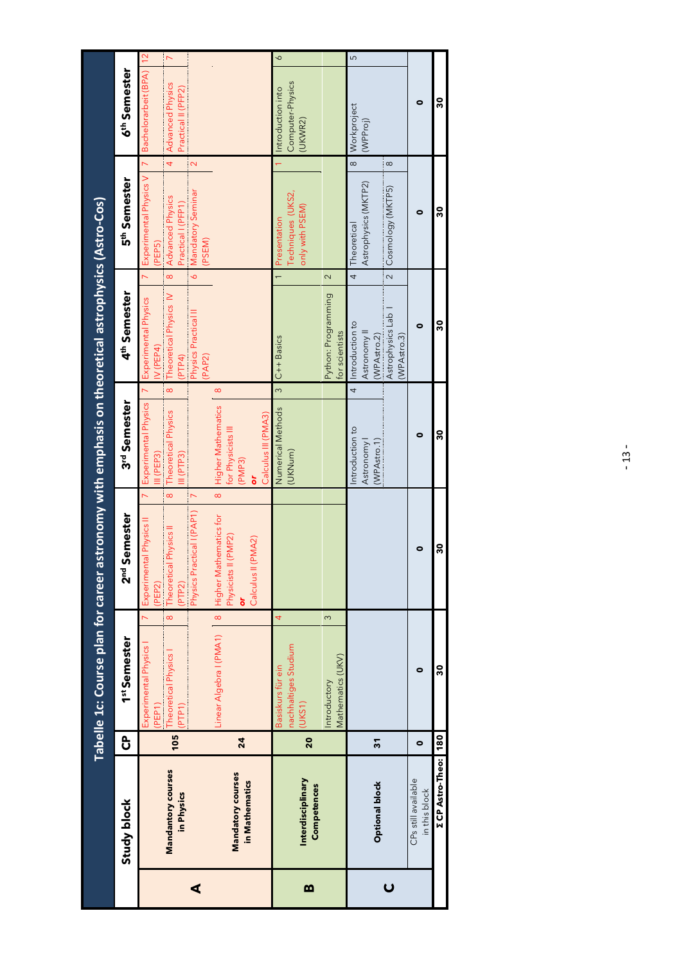|   |                                                                 |          | Tabelle 1c: Course plan for career astronomy with emphasis on theoretical astrophysics (Astro-Cos) |                                                                                                                                                         |                                                                                       |                                                                                                                                              |                                                                                                                                                          |                                                                                               |  |
|---|-----------------------------------------------------------------|----------|----------------------------------------------------------------------------------------------------|---------------------------------------------------------------------------------------------------------------------------------------------------------|---------------------------------------------------------------------------------------|----------------------------------------------------------------------------------------------------------------------------------------------|----------------------------------------------------------------------------------------------------------------------------------------------------------|-----------------------------------------------------------------------------------------------|--|
|   | Study block                                                     | ჭ        | 1st Semester                                                                                       | 2 <sup>nd</sup> Semester                                                                                                                                | 3rd Semester                                                                          | 4 <sup>th</sup> Semester                                                                                                                     | 5 <sup>th</sup> Semester                                                                                                                                 | 6 <sup>th</sup> Semester                                                                      |  |
| ⋖ | Mandantory courses<br>in Physics                                | 105      | $\infty$<br>Experimental Physics I<br>Theoretical Physics<br>(PTP1)<br>(PEP1)                      | $\infty$<br>$\overline{ }$<br>$\overline{\nabla}$<br>Physics Practical I (PAP1)<br>Experimental Physics II<br>Theoretical Physics II<br>(PP2)<br>(PEP2) | $\infty$<br>Experimental Physics<br>Theoretical Physics<br>H(PTP3)<br>$II$ (PEP3)     | $\delta$<br>$\infty$<br>$\overline{a}$<br>Theoretical Physics IV<br>Experimental Physics<br>Physics Practical II<br>IV (PEP4)<br>(PP4)       | $\overline{z}$<br>$\overline{4}$<br>$\mathbf{\Omega}$<br>Experimental Physics V<br>Mandatory Seminar<br>Advanced Physics<br>Practical I (PFP1)<br>(PEPS) | Bachelorarbeit (BPA)   12<br>$\overline{ }$<br><b>Advanced Physics</b><br>Practical II (PFP2) |  |
|   | Mandatory courses<br>in Mathematics                             | 24       | $\bf{8}$<br>Linear Algebra I (PMA1)                                                                | $\infty$<br>Higher Mathematics for<br>Physicists II (PMP2)<br>Calculus II (PMA2)<br>ò                                                                   | $\infty$<br>Higher Mathematics<br>Calculus III (PMA3)<br>for Physicists III<br>(PMP3) | (PAP2)                                                                                                                                       | (PSEM)                                                                                                                                                   |                                                                                               |  |
| m | Interdisciplinary<br>Competences                                | 20       | $\overline{4}$<br>$\infty$<br>nachhaltiges Studium<br>Basiskurs für ein<br>Introductory<br>(UKS1)  |                                                                                                                                                         | $\frac{1}{3}$<br>Numerical Methods<br>(UKNum)                                         | 2<br>Python: Programming<br>$C++$ Basics                                                                                                     | Techniques (UKS2,<br>only with PSEM)<br>Presentation                                                                                                     | $\circ$<br>Computer-Physics<br>Introduction into<br>(UKWR2)                                   |  |
|   | <b>Optional block</b>                                           | 51       | Mathematics (UKV)                                                                                  |                                                                                                                                                         | $\overline{4}$<br>ntroduction to<br>Astronomy<br>(WPAstro.1)                          | $\overline{\mathbf{c}}$<br>$\overline{4}$<br>Astrophysics Lab<br>Introduction to<br>for scientists<br>Astronomy <sup>II</sup><br>(WPAstro.2) | $\infty$<br>$\infty$<br>Astrophysics (MKTP2)<br>Cosmology (MKTP5)<br>Theoretical                                                                         | ပ<br>Workproject<br>(WPProj)                                                                  |  |
|   | <b>Σ</b> CP Astro-Theo:<br>CPs still available<br>in this block | 180<br>0 | ని<br>۰                                                                                            | 30<br>0                                                                                                                                                 | 30<br>0                                                                               | 30<br>0<br>(WPAstro.3)                                                                                                                       | 30<br>0                                                                                                                                                  | 30<br>0                                                                                       |  |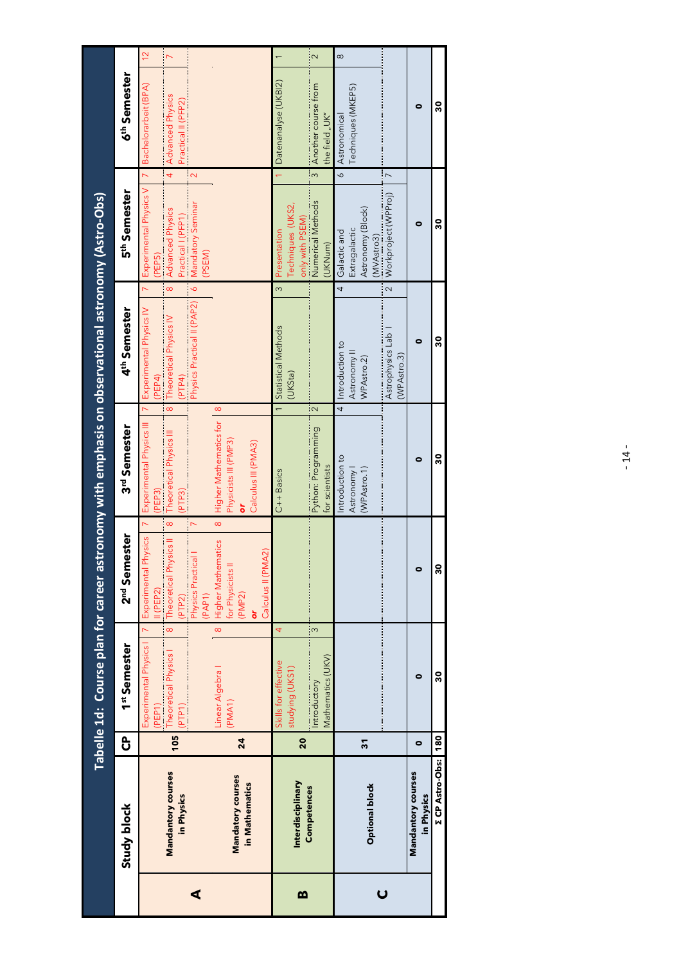|   |                                  |     |                                                                                                                                                                                                                                                           |                                                                       |                                                                                          | Tabelle 1d: Course plan for career astronomy with emphasis on observational astronomy (Astro-Obs) |                                                                 |                                                                            |
|---|----------------------------------|-----|-----------------------------------------------------------------------------------------------------------------------------------------------------------------------------------------------------------------------------------------------------------|-----------------------------------------------------------------------|------------------------------------------------------------------------------------------|---------------------------------------------------------------------------------------------------|-----------------------------------------------------------------|----------------------------------------------------------------------------|
|   | Study block                      | ႕   | 1st Semester                                                                                                                                                                                                                                              | 2 <sup>nd</sup> Semester                                              | 3rd Semester                                                                             | 4 <sup>th</sup> Semester                                                                          | 5 <sup>th</sup> Semester                                        | 6 <sup>th</sup> Semester                                                   |
|   |                                  |     | Experimental Physics I<br>(PEP1)                                                                                                                                                                                                                          | Experimental Physics<br>I(PEP2)                                       | Experimental Physics III<br>(PEP3)                                                       | Experimental Physics IV<br>(PEP4)                                                                 | $\overline{1}$<br>Experimental Physics V<br>(PEP <sub>5</sub> ) | $\frac{2}{3}$<br>Bachelorarbeit (BPA)                                      |
|   | Mandantory courses<br>in Physics | 105 | $\infty$<br>Theoretical Physics I<br>(PTP1)                                                                                                                                                                                                               | Theoretical Physics II<br>(PTP2)                                      | $\infty$<br>Theoretical Physics III<br>(PP3)<br>$\infty$                                 | $\infty$<br>Theoretical Physics IV<br>(PTP4)                                                      | $\overline{4}$<br>Advanced Physics<br>Practical I (PFP1)        | $\overline{\phantom{0}}$<br><b>Advanced Physics</b><br>Practical II (PFP2) |
| ⋖ |                                  |     |                                                                                                                                                                                                                                                           | Physics Practical<br>(PAP1)                                           | $\triangleright$                                                                         | $\delta$<br>Physics Practical II (PAP2)                                                           | $\mathbf{\Omega}$<br>Mandatory Seminar<br>(PSEM)                |                                                                            |
|   | Mandatory courses                |     | Linear Algebra<br>(PMA1)                                                                                                                                                                                                                                  | <b>Higher Mathematics</b><br>for Physicists II<br>$\overline{\infty}$ | $\infty$<br>Higher Mathematics for<br>Physicists III (PMP3)<br>$\infty$                  |                                                                                                   |                                                                 |                                                                            |
|   | in Mathematics                   | 24  |                                                                                                                                                                                                                                                           | A2)<br>Calculus II (PM<br>(PMP2)<br>ò                                 | Calculus III (PMA3)<br>ō                                                                 |                                                                                                   |                                                                 |                                                                            |
|   |                                  |     | 4<br>Skills for effective                                                                                                                                                                                                                                 |                                                                       | C++ Basics                                                                               | $\infty$<br>1 Statistical Methods                                                                 | Presentation                                                    | Datenanalyse (UKBI2)                                                       |
| m | Interdisciplinary                | 20  | studying (UKS1)                                                                                                                                                                                                                                           |                                                                       |                                                                                          | (UKSta)                                                                                           | Techniques (UKS2,<br>only with PSEM)                            |                                                                            |
|   | Competences                      |     | S<br>Mathematics (UKV)<br>Introductory                                                                                                                                                                                                                    |                                                                       | 2<br>Python: Programming<br>for scientists                                               |                                                                                                   | $\infty$<br>Numerical Methods<br>(UKNum)                        | $\sim$<br>Another course from<br>the field "UK"                            |
|   |                                  |     |                                                                                                                                                                                                                                                           |                                                                       | $\frac{4}{1}$<br>Introduction to                                                         | 4<br>Introduction to                                                                              | $\delta$<br>Galactic and                                        | $\infty$<br>Astronomical                                                   |
|   |                                  | 51  |                                                                                                                                                                                                                                                           |                                                                       | <b>Astronomy</b><br>(WPAstro.1)                                                          | Astronomy <sup>II</sup><br>WPAstro.2)                                                             | Astronomy (Block)<br>Extragalactic                              | Techniques (MKEP5)                                                         |
|   | <b>Optional block</b>            |     |                                                                                                                                                                                                                                                           |                                                                       |                                                                                          |                                                                                                   | (MVAstro3)                                                      |                                                                            |
|   |                                  |     | $\label{def:1} \begin{split} \text{diam} & \text{diam} & \text{diam} & \text{diam} & \text{diam} & \text{diam} & \text{diam} & \text{diam} & \text{diam} & \text{diam} & \text{diam} & \text{diam} & \text{diam} & \text{diam} & \text{diam} \end{split}$ | <b>THE REAL PROPERTY AND INCOME.</b>                                  | <u>processor as a component and component and contract and contract and contract and</u> | $\overline{\mathbf{c}}$<br>Astrophysics Lab  <br>(WPAstro.3)                                      | $\overline{ }$<br>Workproject (WPProj)                          |                                                                            |
|   | Mandantory courses<br>in Physics | 0   | $\bullet$                                                                                                                                                                                                                                                 | $\bullet$                                                             | 0                                                                                        | 0                                                                                                 | 0                                                               | ۰                                                                          |
|   | <b>Σ</b> CP Astro-Obs:           | 180 | 30                                                                                                                                                                                                                                                        | 30                                                                    | 30                                                                                       | 30                                                                                                | 30                                                              | 30                                                                         |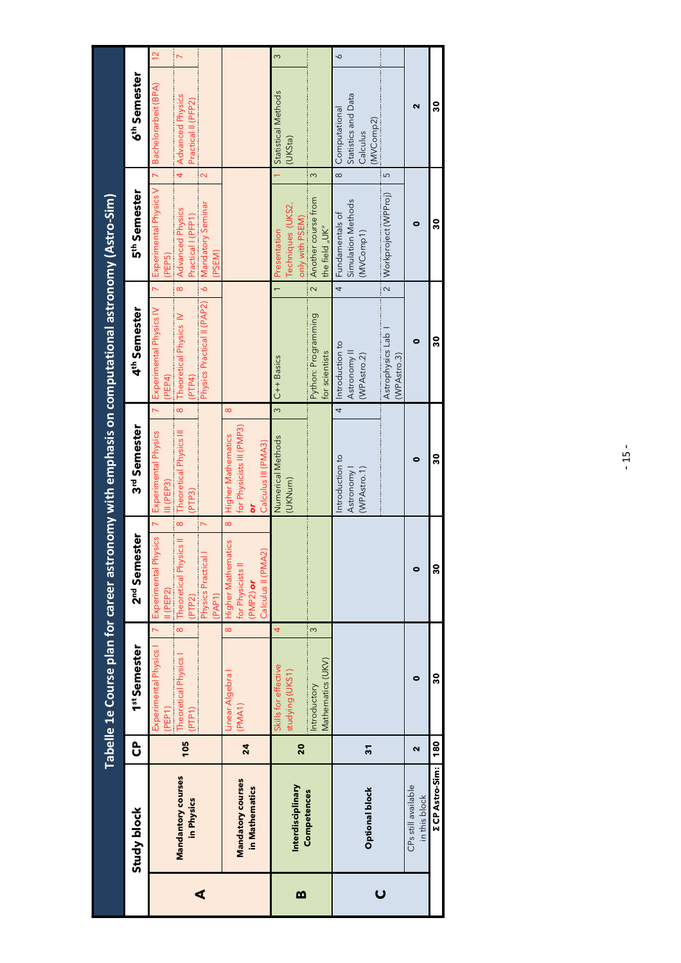|                         |                                      |            |                                                                                                   |                                                                                                                                                                                                                                                                                                                                                                                                                                                                                                                                                                                                                                                                                                     |                                                                                         | Tabelle 1e Course plan for career astronomy with emphasis on computational astronomy (Astro-Sim)                 |                                                                                                                                                                                          |                                                                                  |  |
|-------------------------|--------------------------------------|------------|---------------------------------------------------------------------------------------------------|-----------------------------------------------------------------------------------------------------------------------------------------------------------------------------------------------------------------------------------------------------------------------------------------------------------------------------------------------------------------------------------------------------------------------------------------------------------------------------------------------------------------------------------------------------------------------------------------------------------------------------------------------------------------------------------------------------|-----------------------------------------------------------------------------------------|------------------------------------------------------------------------------------------------------------------|------------------------------------------------------------------------------------------------------------------------------------------------------------------------------------------|----------------------------------------------------------------------------------|--|
|                         | Study block                          | င်         | 1st Semester                                                                                      | 2nd Semester                                                                                                                                                                                                                                                                                                                                                                                                                                                                                                                                                                                                                                                                                        | 3rd Semester                                                                            | 4 <sup>th</sup> Semester                                                                                         | 5 <sup>th</sup> Semester                                                                                                                                                                 | 6 <sup>th</sup> Semester                                                         |  |
| ⋖                       | Mandantory courses<br>in Physics     | 105        | $\infty$<br>$\overline{a}$<br>Experimental Physics I<br>Theoretical Physics I<br>(PEP1)<br>(PTP1) | $\infty$<br>$\overline{ }$<br>$\overline{ }$<br>Experimental Physics<br>Theoretical Physics II<br>$\label{def:1} \begin{minipage}{0.9\linewidth} \begin{minipage}{0.9\linewidth} \begin{minipage}{0.9\linewidth} \begin{minipage}{0.9\linewidth} \end{minipage} \begin{minipage}{0.9\linewidth} \begin{minipage}{0.9\linewidth} \end{minipage} \end{minipage} \begin{minipage}{0.9\linewidth} \begin{minipage}{0.9\linewidth} \begin{minipage}{0.9\linewidth} \end{minipage} \end{minipage} \begin{minipage}{0.9\linewidth} \begin{minipage}{0.9\linewidth} \end{minipage} \end{minipage} \begin{minipage}{0.9\linewidth} \begin{minipage}{0$<br>Physics Practical I<br>I(PEP2)<br>(PAP1)<br>(PTP2) | $\infty$<br>Experimental Physics<br>Theoretical Physics III<br>III (PEP3)<br>(PTP3)     | $\delta$<br>Physics Practical II (PAP2)<br>Experimental Physics IV<br>Theoretical Physics IV<br>(PTP4)<br>(PEP4) | $\overline{z}$<br>$\overline{4}$<br>$\mathbf{\Omega}$<br>Experimental Physics V<br>Mandatory Seminar<br>Advanced Physics<br>Practical I (PFP1)<br>(PSEM)<br>(PEP5)<br>$\overline{\circ}$ | $\frac{2}{3}$<br>Bachelorarbeit (BPA)<br>Advanced Physics<br>Practical II (PFP2) |  |
|                         | Mandatory courses<br>in Mathematics  | 24         | $\infty$<br>Linear Algebra<br>(PMA1)                                                              | $\infty$<br><b>Higher Mathematics</b><br>Calculus II (PMA2)<br>for Physicists II<br>(PMP2) or                                                                                                                                                                                                                                                                                                                                                                                                                                                                                                                                                                                                       | $\infty$<br>for Physicists III (PMP3)<br>Higher Mathematics<br>Calculus III (PMA3)<br>ò |                                                                                                                  |                                                                                                                                                                                          |                                                                                  |  |
| m                       | Interdisciplinary<br>Competences     | 20         | 4<br>$\infty$<br>Mathematics (UKV)<br>Skills for effective<br>studying (UKS1)<br>Introductory     |                                                                                                                                                                                                                                                                                                                                                                                                                                                                                                                                                                                                                                                                                                     | $\infty$<br>Numerical Methods<br>(UKNum)                                                | Python: Programming<br>for scientists<br>$C++$ Basics                                                            | 3<br>only with PSEM)<br>Another course from<br>Techniques (UKS2,<br>the field "UK"<br>Presentation<br>$\sim$                                                                             | $\infty$<br>Statistical Methods<br>(UKSta)                                       |  |
| $\overline{\mathsf{C}}$ | <b>Optional block</b>                | 51         |                                                                                                   |                                                                                                                                                                                                                                                                                                                                                                                                                                                                                                                                                                                                                                                                                                     | $\overline{4}$<br>Introduction to<br>(WPAstro.1)<br>Astronomy                           | Astrophysics Lab<br>Introduction to<br>Astronomy <sup>I</sup><br>(WPAstro.2)<br>(WPAstro.3)                      | $\overline{\circ}$<br>5<br>Workproject (WPProj)<br>Simulation Methods<br>Fundamentals of<br>(MVComp1)<br>$\overline{a}$<br>$\overline{4}$                                                | $\circ$<br>Statistics and Data<br>Computational<br>(MVComp2)<br>Calculus         |  |
|                         | CPs still available<br>in this block | N          | 0                                                                                                 | $\bullet$                                                                                                                                                                                                                                                                                                                                                                                                                                                                                                                                                                                                                                                                                           | 0                                                                                       | Θ                                                                                                                | 0                                                                                                                                                                                        | ี                                                                                |  |
|                         | <b>Z CP Astro-Sim:</b>               | <b>180</b> | 30                                                                                                | 30                                                                                                                                                                                                                                                                                                                                                                                                                                                                                                                                                                                                                                                                                                  | នី                                                                                      | ន្ល                                                                                                              | 30                                                                                                                                                                                       | 80                                                                               |  |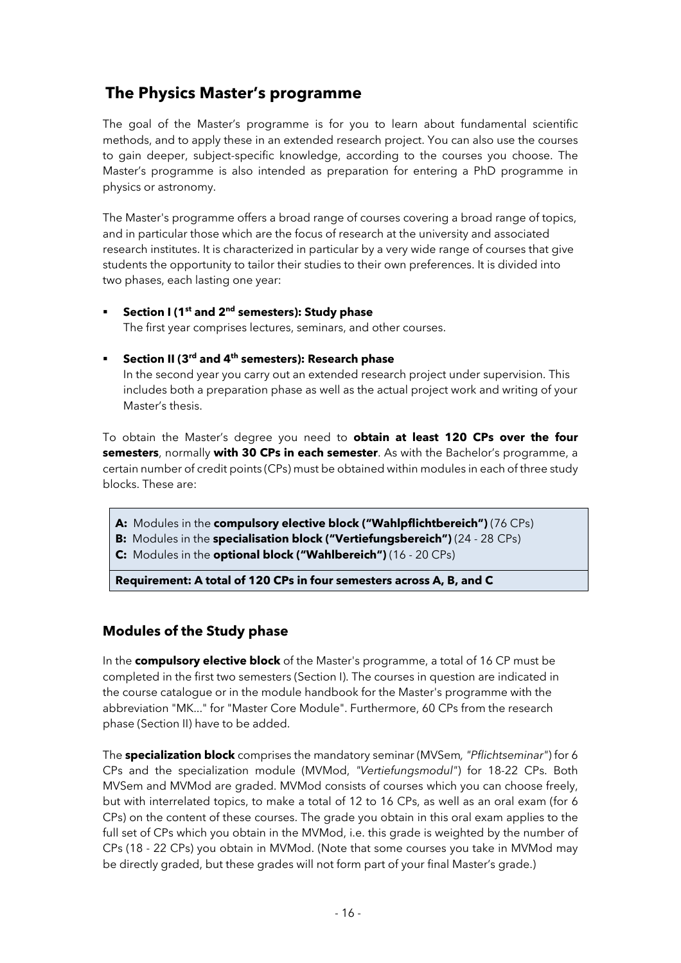### **The Physics Master's programme**

The goal of the Master's programme is for you to learn about fundamental scientific methods, and to apply these in an extended research project. You can also use the courses to gain deeper, subject-specific knowledge, according to the courses you choose. The Master's programme is also intended as preparation for entering a PhD programme in physics or astronomy.

The Master's programme offers a broad range of courses covering a broad range of topics, and in particular those which are the focus of research at the university and associated research institutes. It is characterized in particular by a very wide range of courses that give students the opportunity to tailor their studies to their own preferences. It is divided into two phases, each lasting one year:

#### § **Section I (1st and 2nd semesters): Study phase**

The first year comprises lectures, seminars, and other courses.

#### § **Section II (3rd and 4th semesters): Research phase**

In the second year you carry out an extended research project under supervision. This includes both a preparation phase as well as the actual project work and writing of your Master's thesis.

To obtain the Master's degree you need to **obtain at least 120 CPs over the four semesters**, normally **with 30 CPs in each semester**. As with the Bachelor's programme, a certain number of credit points (CPs) must be obtained within modules in each of three study blocks. These are:

- **A:** Modules in the **compulsory elective block ("Wahlpflichtbereich")** (76 CPs)
- **B:** Modules in the **specialisation block ("Vertiefungsbereich")** (24 28 CPs)
- **C:** Modules in the **optional block ("Wahlbereich")** (16 20 CPs)

**Requirement: A total of 120 CPs in four semesters across A, B, and C**

#### **Modules of the Study phase**

In the **compulsory elective block** of the Master's programme, a total of 16 CP must be completed in the first two semesters (Section I). The courses in question are indicated in the course catalogue or in the module handbook for the Master's programme with the abbreviation "MK..." for "Master Core Module". Furthermore, 60 CPs from the research phase (Section II) have to be added.

The **specialization block** comprises the mandatory seminar (MVSem*, "Pflichtseminar"*) for 6 CPs and the specialization module (MVMod, *"Vertiefungsmodul"*) for 18-22 CPs. Both MVSem and MVMod are graded. MVMod consists of courses which you can choose freely, but with interrelated topics, to make a total of 12 to 16 CPs, as well as an oral exam (for 6 CPs) on the content of these courses. The grade you obtain in this oral exam applies to the full set of CPs which you obtain in the MVMod, i.e. this grade is weighted by the number of CPs (18 - 22 CPs) you obtain in MVMod. (Note that some courses you take in MVMod may be directly graded, but these grades will not form part of your final Master's grade.)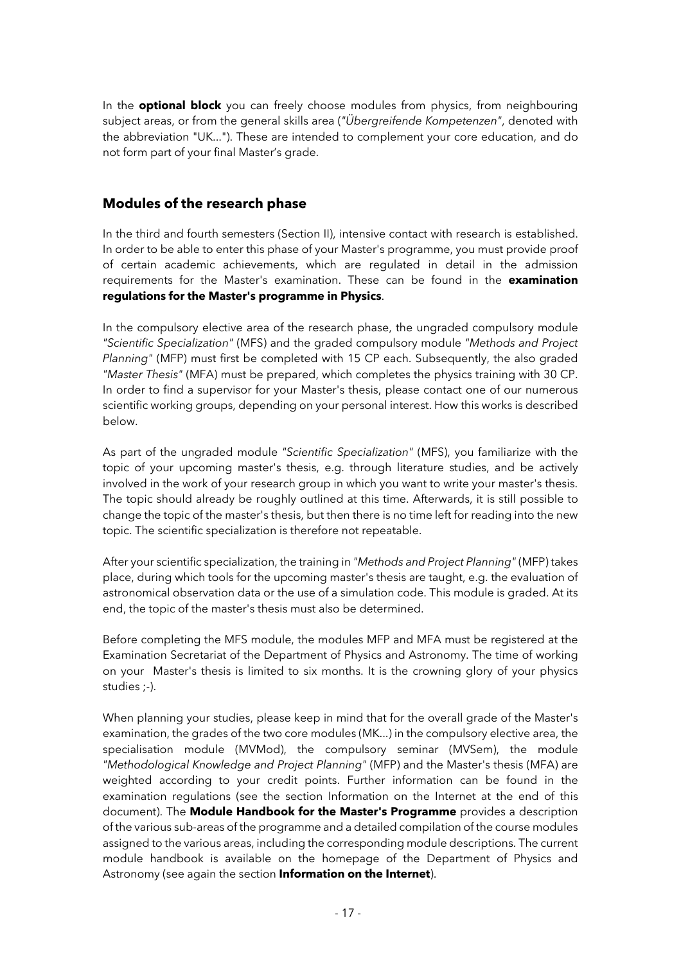In the **optional block** you can freely choose modules from physics, from neighbouring subject areas, or from the general skills area (*"Übergreifende Kompetenzen"*, denoted with the abbreviation "UK..."). These are intended to complement your core education, and do not form part of your final Master's grade.

#### **Modules of the research phase**

In the third and fourth semesters (Section II), intensive contact with research is established. In order to be able to enter this phase of your Master's programme, you must provide proof of certain academic achievements, which are regulated in detail in the admission requirements for the Master's examination. These can be found in the **examination regulations for the Master's programme in Physics**.

In the compulsory elective area of the research phase, the ungraded compulsory module *"Scientific Specialization"* (MFS) and the graded compulsory module *"Methods and Project Planning"* (MFP) must first be completed with 15 CP each. Subsequently, the also graded *"Master Thesis"* (MFA) must be prepared, which completes the physics training with 30 CP. In order to find a supervisor for your Master's thesis, please contact one of our numerous scientific working groups, depending on your personal interest. How this works is described below.

As part of the ungraded module *"Scientific Specialization"* (MFS), you familiarize with the topic of your upcoming master's thesis, e.g. through literature studies, and be actively involved in the work of your research group in which you want to write your master's thesis. The topic should already be roughly outlined at this time. Afterwards, it is still possible to change the topic of the master's thesis, but then there is no time left for reading into the new topic. The scientific specialization is therefore not repeatable.

After your scientific specialization, the training in *"Methods and Project Planning"* (MFP) takes place, during which tools for the upcoming master's thesis are taught, e.g. the evaluation of astronomical observation data or the use of a simulation code. This module is graded. At its end, the topic of the master's thesis must also be determined.

Before completing the MFS module, the modules MFP and MFA must be registered at the Examination Secretariat of the Department of Physics and Astronomy. The time of working on your Master's thesis is limited to six months. It is the crowning glory of your physics studies ;-).

When planning your studies, please keep in mind that for the overall grade of the Master's examination, the grades of the two core modules (MK...) in the compulsory elective area, the specialisation module (MVMod), the compulsory seminar (MVSem), the module *"Methodological Knowledge and Project Planning"* (MFP) and the Master's thesis (MFA) are weighted according to your credit points. Further information can be found in the examination regulations (see the section Information on the Internet at the end of this document). The **Module Handbook for the Master's Programme** provides a description of the various sub-areas of the programme and a detailed compilation of the course modules assigned to the various areas, including the corresponding module descriptions. The current module handbook is available on the homepage of the Department of Physics and Astronomy (see again the section **Information on the Internet**).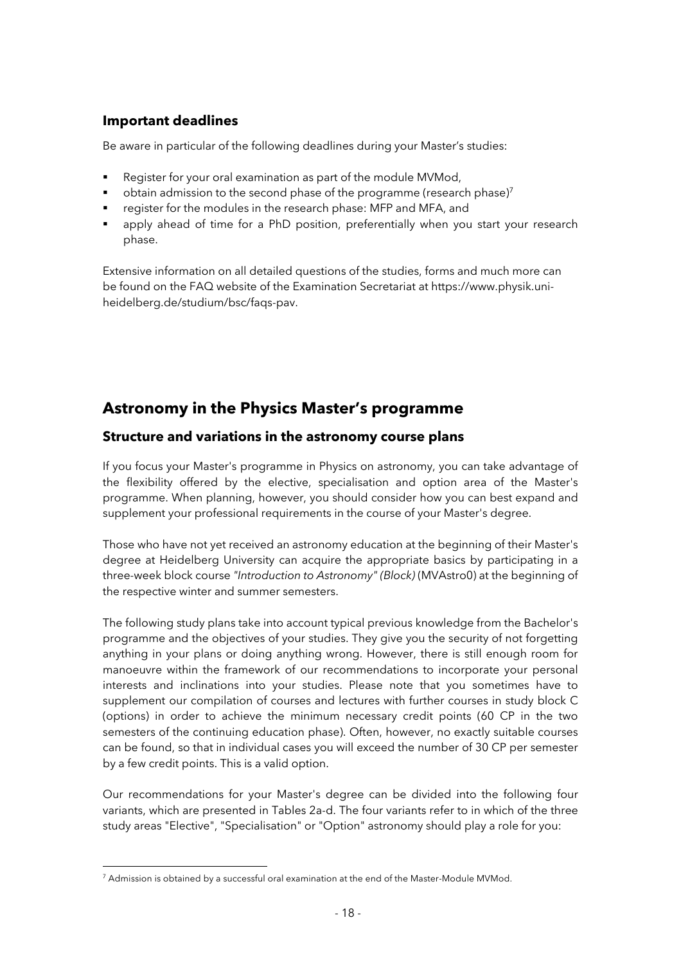#### **Important deadlines**

Be aware in particular of the following deadlines during your Master's studies:

- Register for your oral examination as part of the module MVMod,
- § obtain admission to the second phase of the programme (research phase)7
- register for the modules in the research phase: MFP and MFA, and
- **•** apply ahead of time for a PhD position, preferentially when you start your research phase.

Extensive information on all detailed questions of the studies, forms and much more can be found on the FAQ website of the Examination Secretariat at https://www.physik.uniheidelberg.de/studium/bsc/faqs-pav.

### **Astronomy in the Physics Master's programme**

#### **Structure and variations in the astronomy course plans**

If you focus your Master's programme in Physics on astronomy, you can take advantage of the flexibility offered by the elective, specialisation and option area of the Master's programme. When planning, however, you should consider how you can best expand and supplement your professional requirements in the course of your Master's degree.

Those who have not yet received an astronomy education at the beginning of their Master's degree at Heidelberg University can acquire the appropriate basics by participating in a three-week block course *"Introduction to Astronomy" (Block)* (MVAstro0) at the beginning of the respective winter and summer semesters.

The following study plans take into account typical previous knowledge from the Bachelor's programme and the objectives of your studies. They give you the security of not forgetting anything in your plans or doing anything wrong. However, there is still enough room for manoeuvre within the framework of our recommendations to incorporate your personal interests and inclinations into your studies. Please note that you sometimes have to supplement our compilation of courses and lectures with further courses in study block C (options) in order to achieve the minimum necessary credit points (60 CP in the two semesters of the continuing education phase). Often, however, no exactly suitable courses can be found, so that in individual cases you will exceed the number of 30 CP per semester by a few credit points. This is a valid option.

Our recommendations for your Master's degree can be divided into the following four variants, which are presented in Tables 2a-d. The four variants refer to in which of the three study areas "Elective", "Specialisation" or "Option" astronomy should play a role for you:

<sup>&</sup>lt;sup>7</sup> Admission is obtained by a successful oral examination at the end of the Master-Module MVMod.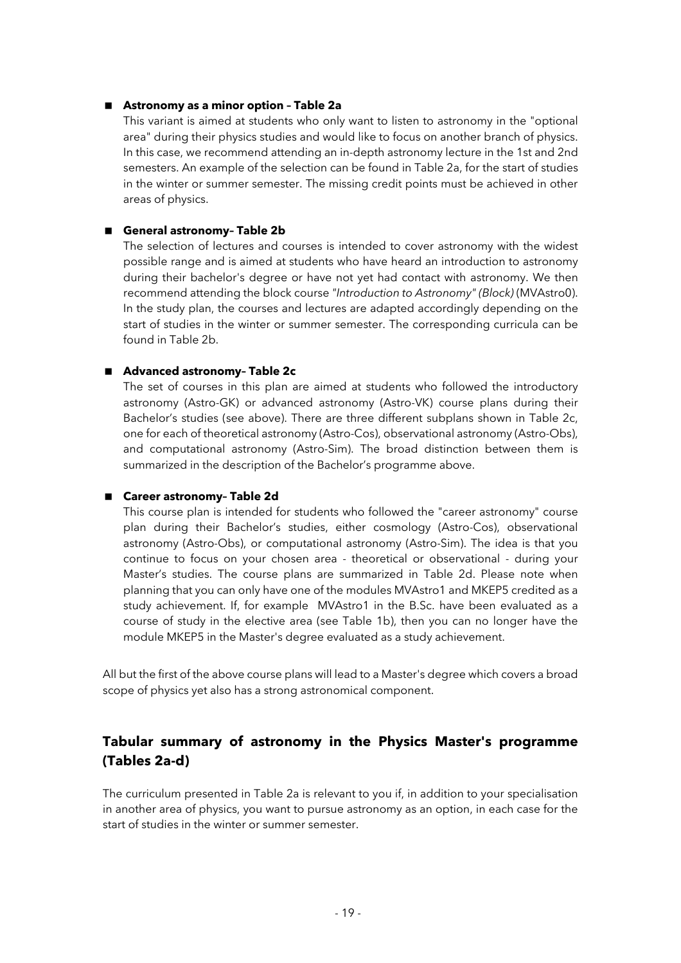#### ■ **Astronomy as a minor option - Table 2a**

This variant is aimed at students who only want to listen to astronomy in the "optional area" during their physics studies and would like to focus on another branch of physics. In this case, we recommend attending an in-depth astronomy lecture in the 1st and 2nd semesters. An example of the selection can be found in Table 2a, for the start of studies in the winter or summer semester. The missing credit points must be achieved in other areas of physics.

#### ■ General astronomy- Table 2b

The selection of lectures and courses is intended to cover astronomy with the widest possible range and is aimed at students who have heard an introduction to astronomy during their bachelor's degree or have not yet had contact with astronomy. We then recommend attending the block course *"Introduction to Astronomy" (Block)* (MVAstro0). In the study plan, the courses and lectures are adapted accordingly depending on the start of studies in the winter or summer semester. The corresponding curricula can be found in Table 2b.

#### ■ Advanced astronomy- Table 2c

The set of courses in this plan are aimed at students who followed the introductory astronomy (Astro-GK) or advanced astronomy (Astro-VK) course plans during their Bachelor's studies (see above). There are three different subplans shown in Table 2c, one for each of theoretical astronomy (Astro-Cos), observational astronomy (Astro-Obs), and computational astronomy (Astro-Sim). The broad distinction between them is summarized in the description of the Bachelor's programme above.

#### ■ Career astronomy- Table 2d

This course plan is intended for students who followed the "career astronomy" course plan during their Bachelor's studies, either cosmology (Astro-Cos), observational astronomy (Astro-Obs), or computational astronomy (Astro-Sim). The idea is that you continue to focus on your chosen area - theoretical or observational - during your Master's studies. The course plans are summarized in Table 2d. Please note when planning that you can only have one of the modules MVAstro1 and MKEP5 credited as a study achievement. If, for example MVAstro1 in the B.Sc. have been evaluated as a course of study in the elective area (see Table 1b), then you can no longer have the module MKEP5 in the Master's degree evaluated as a study achievement.

All but the first of the above course plans will lead to a Master's degree which covers a broad scope of physics yet also has a strong astronomical component.

### **Tabular summary of astronomy in the Physics Master's programme (Tables 2a-d)**

The curriculum presented in Table 2a is relevant to you if, in addition to your specialisation in another area of physics, you want to pursue astronomy as an option, in each case for the start of studies in the winter or summer semester.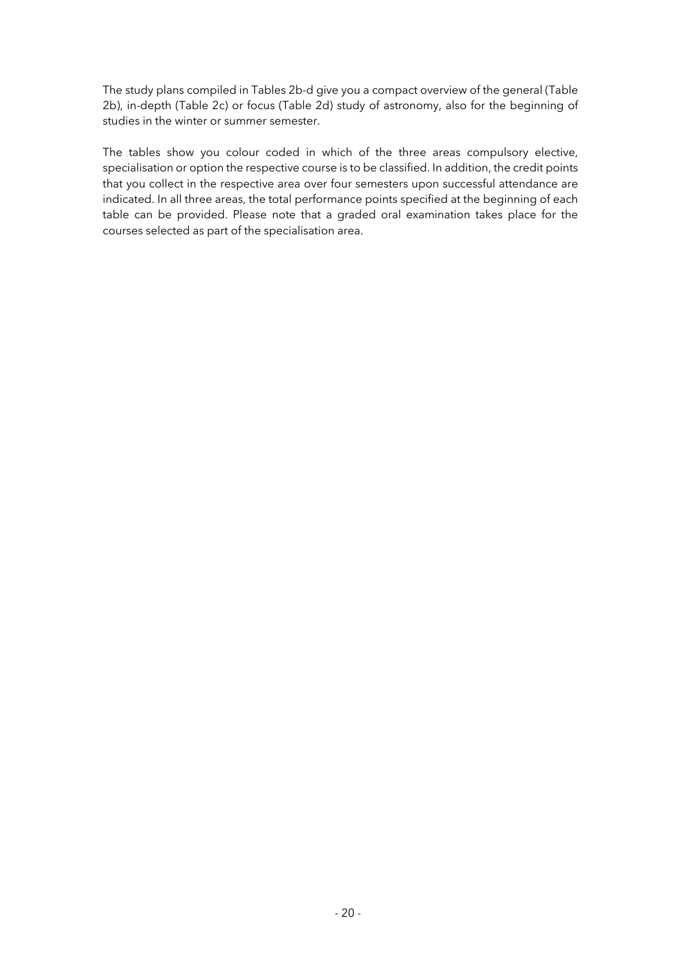The study plans compiled in Tables 2b-d give you a compact overview of the general (Table 2b), in-depth (Table 2c) or focus (Table 2d) study of astronomy, also for the beginning of studies in the winter or summer semester.

The tables show you colour coded in which of the three areas compulsory elective, specialisation or option the respective course is to be classified. In addition, the credit points that you collect in the respective area over four semesters upon successful attendance are indicated. In all three areas, the total performance points specified at the beginning of each table can be provided. Please note that a graded oral examination takes place for the courses selected as part of the specialisation area.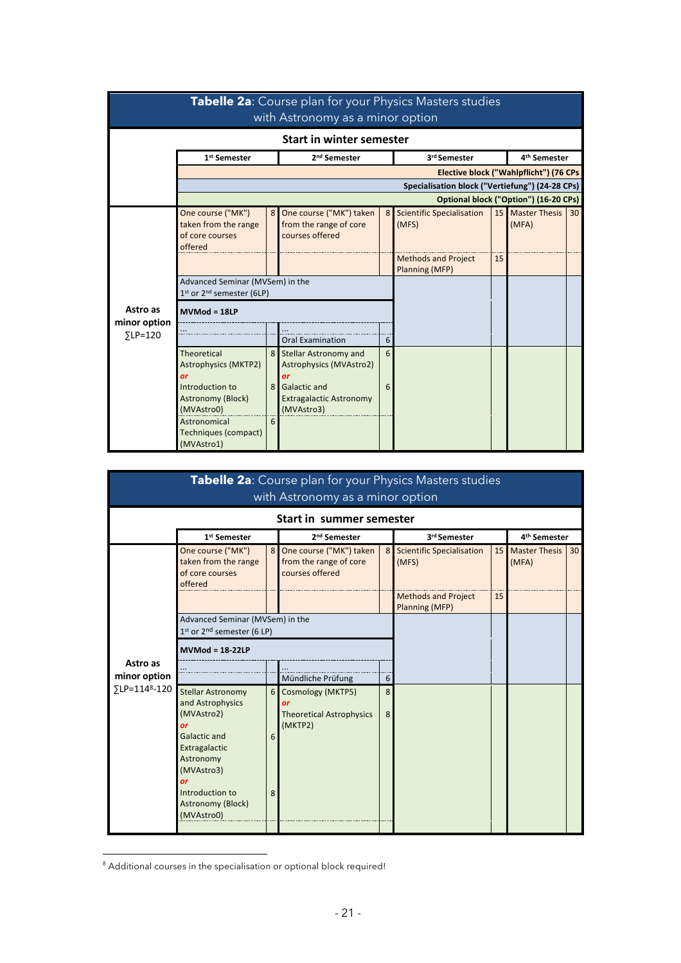|                                             |                                                                                                               |                     | Tabelle 2a: Course plan for your Physics Masters studies<br>with Astronomy as a minor option                                         |        |                                                 |                 |                                        |                 |
|---------------------------------------------|---------------------------------------------------------------------------------------------------------------|---------------------|--------------------------------------------------------------------------------------------------------------------------------------|--------|-------------------------------------------------|-----------------|----------------------------------------|-----------------|
|                                             |                                                                                                               |                     | <b>Start in winter semester</b>                                                                                                      |        |                                                 |                 |                                        |                 |
|                                             | 1 <sup>st</sup> Semester                                                                                      |                     | 2 <sup>nd</sup> Semester                                                                                                             |        | 3rd Semester                                    |                 | 4 <sup>th</sup> Semester               |                 |
|                                             |                                                                                                               |                     |                                                                                                                                      |        | Specialisation block ("Vertiefung") (24-28 CPs) |                 | Elective block ("Wahlpflicht") (76 CPs |                 |
|                                             |                                                                                                               |                     |                                                                                                                                      |        |                                                 |                 | Optional block ("Option") (16-20 CPs)  |                 |
|                                             | One course ("MK")<br>taken from the range<br>of core courses<br>offered                                       | 8                   | One course ("MK") taken<br>from the range of core<br>courses offered                                                                 | 8      | <b>Scientific Specialisation</b><br>(MFS)       | 15 <sub>1</sub> | <b>Master Thesis</b><br>(MFA)          | 30 <sup>1</sup> |
|                                             |                                                                                                               |                     |                                                                                                                                      |        | <b>Methods and Project</b><br>Planning (MFP)    | 15              |                                        |                 |
|                                             | Advanced Seminar (MVSem) in the<br>1st or 2 <sup>nd</sup> semester (6LP)                                      |                     |                                                                                                                                      |        |                                                 |                 |                                        |                 |
| Astro as<br>minor option<br>$\Sigma$ LP=120 | $MVMod = 18LP$                                                                                                |                     |                                                                                                                                      |        |                                                 |                 |                                        |                 |
|                                             |                                                                                                               |                     | <b>Oral Examination</b>                                                                                                              | 6      |                                                 |                 |                                        |                 |
|                                             | <b>Theoretical</b><br><b>Astrophysics (MKTP2)</b><br>or<br>Introduction to<br>Astronomy (Block)<br>(MVAstro0) | 8 <sup>1</sup><br>8 | <b>Stellar Astronomy and</b><br>Astrophysics (MVAstro2)<br>or<br><b>Galactic and</b><br><b>Extragalactic Astronomy</b><br>(MVAstro3) | 6<br>6 |                                                 |                 |                                        |                 |
|                                             | Astronomical<br><b>Techniques (compact)</b><br>(MVAstro1)                                                     | 6                   |                                                                                                                                      |        |                                                 |                 |                                        |                 |

|                                                       |                                                                                                                                                 |                | Tabelle 2a: Course plan for your Physics Masters studies<br>with Astronomy as a minor option |                |                                              |                 |                               |                 |
|-------------------------------------------------------|-------------------------------------------------------------------------------------------------------------------------------------------------|----------------|----------------------------------------------------------------------------------------------|----------------|----------------------------------------------|-----------------|-------------------------------|-----------------|
|                                                       |                                                                                                                                                 |                | Start in summer semester                                                                     |                |                                              |                 |                               |                 |
|                                                       | 1 <sup>st</sup> Semester                                                                                                                        |                | 2 <sup>nd</sup> Semester                                                                     |                | 3rd Semester                                 |                 | 4 <sup>th</sup> Semester      |                 |
|                                                       | One course ("MK")<br>taken from the range<br>of core courses<br>offered                                                                         | 8 <sup>1</sup> | One course ("MK") taken<br>from the range of core<br>courses offered                         | 8 <sup>1</sup> | <b>Scientific Specialisation</b><br>(MFS)    | 15 <sup>1</sup> | <b>Master Thesis</b><br>(MFA) | 30 <sup>1</sup> |
|                                                       |                                                                                                                                                 |                |                                                                                              |                | <b>Methods and Project</b><br>Planning (MFP) | 15              |                               |                 |
|                                                       | Advanced Seminar (MVSem) in the<br>$1st$ or $2nd$ semester (6 LP)                                                                               |                |                                                                                              |                |                                              |                 |                               |                 |
|                                                       | <b>MVMod = 18-22LP</b>                                                                                                                          |                |                                                                                              |                |                                              |                 |                               |                 |
| Astro as<br>minor option<br>∑LP=114 <sup>8</sup> -120 |                                                                                                                                                 |                | Mündliche Prüfung                                                                            | 6              |                                              |                 |                               |                 |
|                                                       | <b>Stellar Astronomy</b><br>and Astrophysics                                                                                                    | $6 \mid$       | Cosmology (MKTP5)<br>or                                                                      | 8              |                                              |                 |                               |                 |
|                                                       | (MVAstro2)<br>or<br><b>Galactic and</b><br>Extragalactic<br>Astronomy<br>(MVAstro3)<br>or<br>Introduction to<br>Astronomy (Block)<br>(MVAstro0) | 6<br>8         | <b>Theoretical Astrophysics</b><br>(MKTP2)                                                   | 8              |                                              |                 |                               |                 |

<sup>&</sup>lt;sup>8</sup> Additional courses in the specialisation or optional block required!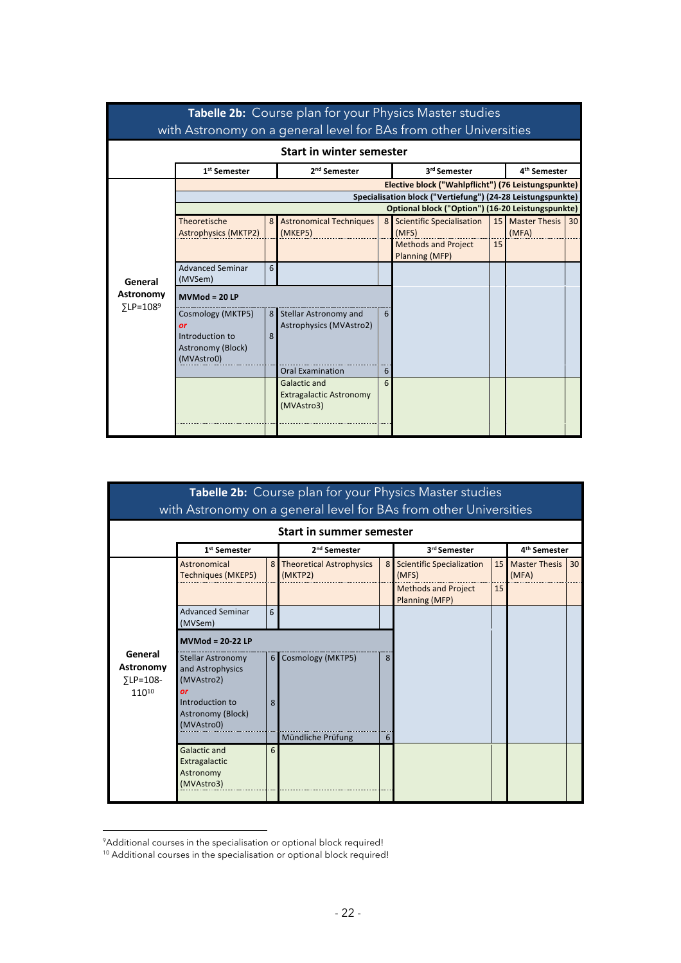|                                           |                                                                               |                | <b>Tabelle 2b:</b> Course plan for your Physics Master studies<br>with Astronomy on a general level for BAs from other Universities |                |                                                                                                                  |    |                               |    |
|-------------------------------------------|-------------------------------------------------------------------------------|----------------|-------------------------------------------------------------------------------------------------------------------------------------|----------------|------------------------------------------------------------------------------------------------------------------|----|-------------------------------|----|
|                                           |                                                                               |                | <b>Start in winter semester</b>                                                                                                     |                |                                                                                                                  |    |                               |    |
|                                           | 1 <sup>st</sup> Semester                                                      |                | 2 <sup>nd</sup> Semester                                                                                                            |                | 3rd Semester                                                                                                     |    | 4 <sup>th</sup> Semester      |    |
|                                           |                                                                               |                |                                                                                                                                     |                | Elective block ("Wahlpflicht") (76 Leistungspunkte)                                                              |    |                               |    |
|                                           |                                                                               |                |                                                                                                                                     |                | Specialisation block ("Vertiefung") (24-28 Leistungspunkte)<br>Optional block ("Option") (16-20 Leistungspunkte) |    |                               |    |
|                                           | Theoretische<br><b>Astrophysics (MKTP2)</b>                                   | 8 <sup>1</sup> | <b>Astronomical Techniques</b><br>(MKEP5)                                                                                           | 8 <sup>1</sup> | <b>Scientific Specialisation</b><br>(MFS)                                                                        | 15 | <b>Master Thesis</b><br>(MFA) | 30 |
|                                           |                                                                               |                |                                                                                                                                     |                | <b>Methods and Project</b><br>Planning (MFP)                                                                     | 15 |                               |    |
| General                                   | <b>Advanced Seminar</b><br>(MVSem)                                            | 6              |                                                                                                                                     |                |                                                                                                                  |    |                               |    |
| Astronomy<br>$\Sigma$ LP=108 <sup>9</sup> | $MVMod = 20 LP$                                                               |                |                                                                                                                                     |                |                                                                                                                  |    |                               |    |
|                                           | Cosmology (MKTP5)<br>or<br>Introduction to<br>Astronomy (Block)<br>(MVAstro0) | 8              | 8 Stellar Astronomy and<br>Astrophysics (MVAstro2)                                                                                  | 6              |                                                                                                                  |    |                               |    |
|                                           |                                                                               |                | <b>Oral Examination</b>                                                                                                             | 6              |                                                                                                                  |    |                               |    |
|                                           |                                                                               |                | <b>Galactic and</b><br><b>Extragalactic Astronomy</b><br>(MVAstro3)                                                                 | 6              |                                                                                                                  |    |                               |    |

|                                                   |                                                                  |                | Tabelle 2b: Course plan for your Physics Master studies<br>with Astronomy on a general level for BAs from other Universities |                |                                              |                 |                               |    |
|---------------------------------------------------|------------------------------------------------------------------|----------------|------------------------------------------------------------------------------------------------------------------------------|----------------|----------------------------------------------|-----------------|-------------------------------|----|
|                                                   |                                                                  |                | <b>Start in summer semester</b>                                                                                              |                |                                              |                 |                               |    |
|                                                   | 1 <sup>st</sup> Semester                                         |                | 2 <sup>nd</sup> Semester                                                                                                     |                | 3rd Semester                                 |                 | 4 <sup>th</sup> Semester      |    |
|                                                   | Astronomical<br><b>Techniques (MKEP5)</b>                        | 8 <sup>1</sup> | <b>Theoretical Astrophysics</b><br>(MKTP2)                                                                                   | 8 <sup>1</sup> | <b>Scientific Specialization</b><br>(MFS)    | 15 <sub>1</sub> | <b>Master Thesis</b><br>(MFA) | 30 |
|                                                   |                                                                  |                |                                                                                                                              |                | <b>Methods and Project</b><br>Planning (MFP) | 15              |                               |    |
|                                                   | <b>Advanced Seminar</b><br>(MVSem)                               | 6              |                                                                                                                              |                |                                              |                 |                               |    |
|                                                   | $MVMod = 20-22 LP$                                               |                |                                                                                                                              |                |                                              |                 |                               |    |
| General<br>Astronomy<br>$\Sigma$ LP=108-<br>11010 | <b>Stellar Astronomy</b><br>and Astrophysics<br>(MVAstro2)<br>or | 6 <sup>1</sup> | Cosmology (MKTP5)                                                                                                            | 8              |                                              |                 |                               |    |
|                                                   | Introduction to<br>Astronomy (Block)<br>(MVAstro0)               | 8              | Mündliche Prüfung                                                                                                            | 6              |                                              |                 |                               |    |
|                                                   | <b>Galactic and</b><br>Extragalactic<br>Astronomy<br>(MVAstro3)  | 6              |                                                                                                                              |                |                                              |                 |                               |    |

<sup>&</sup>lt;sup>9</sup> Additional courses in the specialisation or optional block required!

<sup>&</sup>lt;sup>10</sup> Additional courses in the specialisation or optional block required!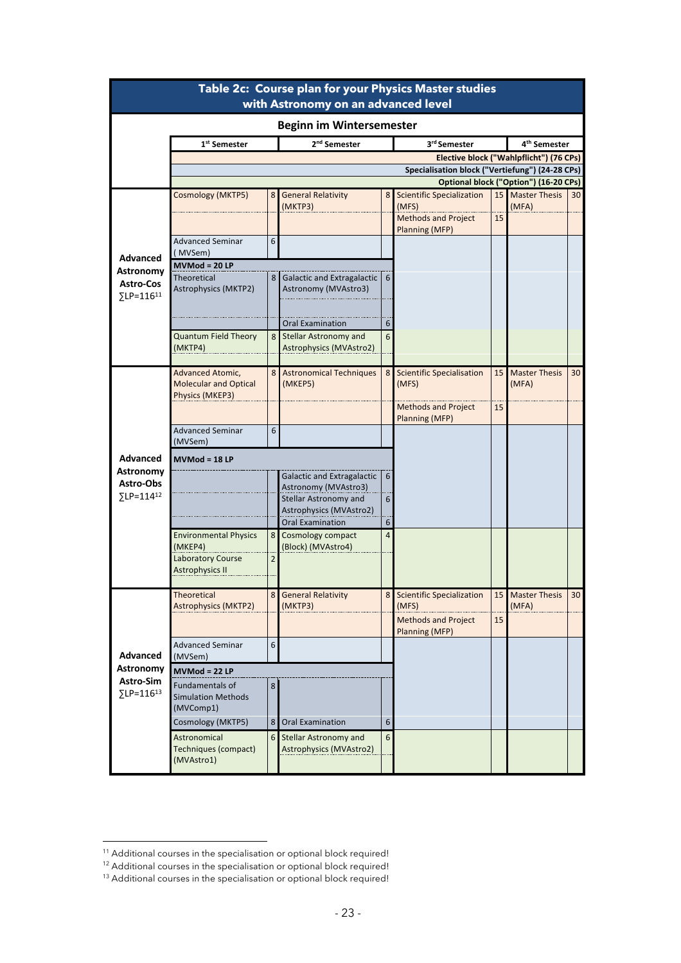|                                                                     |                                                                     |                  | Table 2c: Course plan for your Physics Master studies<br>with Astronomy on an advanced level |                 |                                                                                           |          |                                         |    |
|---------------------------------------------------------------------|---------------------------------------------------------------------|------------------|----------------------------------------------------------------------------------------------|-----------------|-------------------------------------------------------------------------------------------|----------|-----------------------------------------|----|
|                                                                     |                                                                     |                  | <b>Beginn im Wintersemester</b>                                                              |                 |                                                                                           |          |                                         |    |
|                                                                     | 1 <sup>st</sup> Semester                                            |                  | 2 <sup>nd</sup> Semester                                                                     |                 | 3rd Semester                                                                              |          | 4 <sup>th</sup> Semester                |    |
|                                                                     |                                                                     |                  |                                                                                              |                 |                                                                                           |          | Elective block ("Wahlpflicht") (76 CPs) |    |
|                                                                     |                                                                     |                  |                                                                                              |                 | Specialisation block ("Vertiefung") (24-28 CPs)                                           |          |                                         |    |
|                                                                     |                                                                     |                  |                                                                                              |                 |                                                                                           |          | Optional block ("Option") (16-20 CPs)   |    |
|                                                                     | Cosmology (MKTP5)                                                   | 8 <sub>l</sub>   | <b>General Relativity</b><br>(MKTP3)                                                         | 8 <sub>l</sub>  | <b>Scientific Specialization</b><br>(MFS)<br><b>Methods and Project</b><br>Planning (MFP) | 15<br>15 | <b>Master Thesis</b><br>(MFA)           | 30 |
| <b>Advanced</b>                                                     | <b>Advanced Seminar</b><br>(MVSem)                                  | 6                |                                                                                              |                 |                                                                                           |          |                                         |    |
| Astronomy                                                           | $MVMod = 20 LP$                                                     |                  |                                                                                              |                 |                                                                                           |          |                                         |    |
| Astro-Cos<br>$\Sigma$ LP=116 <sup>11</sup>                          | <b>Theoretical</b><br>Astrophysics (MKTP2)                          | 8                | Galactic and Extragalactic<br>Astronomy (MVAstro3)                                           | 6               |                                                                                           |          |                                         |    |
|                                                                     |                                                                     |                  | <b>Oral Examination</b>                                                                      | 6               |                                                                                           |          |                                         |    |
|                                                                     | <b>Quantum Field Theory</b><br>(MKTP4)                              | 8                | <b>Stellar Astronomy and</b><br>Astrophysics (MVAstro2)                                      | 6               |                                                                                           |          |                                         |    |
|                                                                     | Advanced Atomic,<br><b>Molecular and Optical</b><br>Physics (MKEP3) | 8                | <b>Astronomical Techniques</b><br>(MKEP5)                                                    | 8 <sub>l</sub>  | <b>Scientific Specialisation</b><br>(MFS)                                                 | 15       | <b>Master Thesis</b><br>(MFA)           | 30 |
|                                                                     |                                                                     |                  |                                                                                              |                 | <b>Methods and Project</b><br><b>Planning (MFP)</b>                                       | 15       |                                         |    |
|                                                                     | <b>Advanced Seminar</b><br>(MVSem)                                  | 6                |                                                                                              |                 |                                                                                           |          |                                         |    |
| Advanced<br>Astronomy<br>Astro-Obs<br>$\Sigma$ LP=114 <sup>12</sup> | <b>MVMod = 18 LP</b>                                                |                  |                                                                                              |                 |                                                                                           |          |                                         |    |
|                                                                     |                                                                     |                  | <b>Galactic and Extragalactic</b><br>Astronomy (MVAstro3)                                    | 6               |                                                                                           |          |                                         |    |
|                                                                     |                                                                     |                  | Stellar Astronomy and<br>Astrophysics (MVAstro2)<br><b>Oral Examination</b>                  | 6<br>6          |                                                                                           |          |                                         |    |
|                                                                     | <b>Environmental Physics</b><br>(MKEP4)                             | 8 <sub>l</sub>   | Cosmology compact<br>(Block) (MVAstro4)                                                      | $\overline{4}$  |                                                                                           |          |                                         |    |
|                                                                     | <b>Laboratory Course</b><br><b>Astrophysics II</b>                  | $\overline{2}$   |                                                                                              |                 |                                                                                           |          |                                         |    |
|                                                                     | <b>Theoretical</b><br><b>Astrophysics (MKTP2)</b>                   |                  | 8 General Relativity<br>(MKTP3)                                                              |                 | 8 Scientific Specialization<br>(MFS)                                                      | 15       | <b>Master Thesis</b><br>(MFA)           | 30 |
|                                                                     |                                                                     |                  |                                                                                              |                 | <b>Methods and Project</b><br><b>Planning (MFP)</b>                                       | 15       |                                         |    |
| Advanced                                                            | Advanced Seminar<br>(MVSem)                                         | $\boldsymbol{6}$ |                                                                                              |                 |                                                                                           |          |                                         |    |
| <b>Astronomy</b>                                                    | $MVMod = 22 LP$                                                     |                  |                                                                                              |                 |                                                                                           |          |                                         |    |
| Astro-Sim<br>$\Sigma$ LP=116 <sup>13</sup>                          | <b>Fundamentals of</b><br><b>Simulation Methods</b><br>(MVComp1)    | 8                |                                                                                              |                 |                                                                                           |          |                                         |    |
|                                                                     | Cosmology (MKTP5)                                                   | 8 <sup>1</sup>   | <b>Oral Examination</b>                                                                      | 6               |                                                                                           |          |                                         |    |
|                                                                     | Astronomical<br>Techniques (compact)<br>(MVAstro1)                  |                  | 6 Stellar Astronomy and<br>Astrophysics (MVAstro2)                                           | $6\overline{6}$ |                                                                                           |          |                                         |    |

<sup>&</sup>lt;sup>11</sup> Additional courses in the specialisation or optional block required!

<sup>&</sup>lt;sup>12</sup> Additional courses in the specialisation or optional block required!

<sup>&</sup>lt;sup>13</sup> Additional courses in the specialisation or optional block required!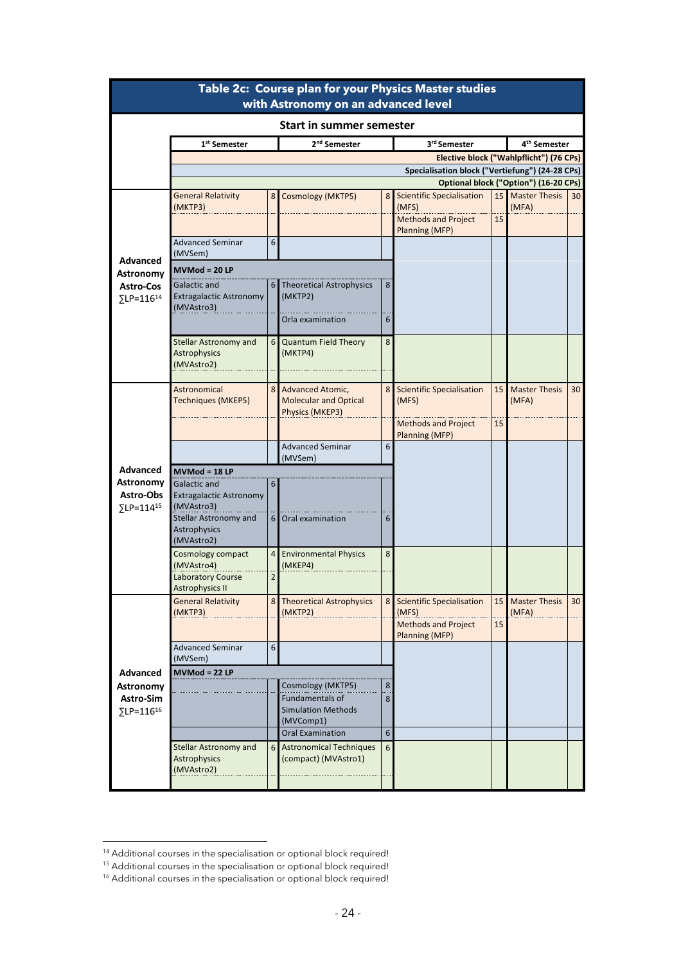|                                                         |                                                              |                     | Table 2c: Course plan for your Physics Master studies<br>with Astronomy on an advanced level |                  |                                                                                           |          |                                         |    |
|---------------------------------------------------------|--------------------------------------------------------------|---------------------|----------------------------------------------------------------------------------------------|------------------|-------------------------------------------------------------------------------------------|----------|-----------------------------------------|----|
|                                                         |                                                              |                     | <b>Start in summer semester</b>                                                              |                  |                                                                                           |          |                                         |    |
|                                                         | 1 <sup>st</sup> Semester                                     |                     | 2 <sup>nd</sup> Semester                                                                     |                  | 3rd Semester                                                                              |          | 4 <sup>th</sup> Semester                |    |
|                                                         |                                                              |                     |                                                                                              |                  |                                                                                           |          | Elective block ("Wahlpflicht") (76 CPs) |    |
|                                                         |                                                              |                     |                                                                                              |                  | Specialisation block ("Vertiefung") (24-28 CPs)                                           |          |                                         |    |
|                                                         |                                                              |                     |                                                                                              |                  |                                                                                           |          | Optional block ("Option") (16-20 CPs)   |    |
|                                                         | <b>General Relativity</b><br>(MKTP3)                         | 8                   | <b>Cosmology (MKTP5)</b>                                                                     | 8 <sub>l</sub>   | <b>Scientific Specialisation</b><br>(MFS)<br><b>Methods and Project</b><br>Planning (MFP) | 15<br>15 | <b>Master Thesis</b><br>(MFA)           | 30 |
|                                                         | <b>Advanced Seminar</b><br>(MVSem)                           | 6                   |                                                                                              |                  |                                                                                           |          |                                         |    |
| <b>Advanced</b><br><b>Astronomy</b>                     | $MVMod = 20 LP$                                              |                     |                                                                                              |                  |                                                                                           |          |                                         |    |
| <b>Astro-Cos</b><br>$\Sigma$ LP=116 <sup>14</sup>       | Galactic and<br><b>Extragalactic Astronomy</b><br>(MVAstro3) |                     | 6 Theoretical Astrophysics<br>(MKTP2)                                                        | 8                |                                                                                           |          |                                         |    |
|                                                         |                                                              |                     | Orla examination                                                                             | 6                |                                                                                           |          |                                         |    |
|                                                         | <b>Stellar Astronomy and</b><br>Astrophysics<br>(MVAstro2)   | 6 <sup>1</sup>      | <b>Quantum Field Theory</b><br>(MKTP4)                                                       | 8                |                                                                                           |          |                                         |    |
|                                                         | Astronomical<br>Techniques (MKEP5)                           |                     | 8 Advanced Atomic,<br><b>Molecular and Optical</b><br>Physics (MKEP3)                        |                  | 8 Scientific Specialisation<br>(MFS)                                                      | 15       | <b>Master Thesis</b><br>(MFA)           | 30 |
|                                                         |                                                              |                     |                                                                                              |                  | <b>Methods and Project</b><br>Planning (MFP)                                              | 15       |                                         |    |
| Advanced<br>Astronomy<br>Astro-Obs<br>$\Sigma$ LP=11415 |                                                              |                     | <b>Advanced Seminar</b><br>(MVSem)                                                           | 6                |                                                                                           |          |                                         |    |
|                                                         | $MVMod = 18 LP$                                              |                     |                                                                                              |                  |                                                                                           |          |                                         |    |
|                                                         | Galactic and<br><b>Extragalactic Astronomy</b><br>(MVAstro3) | 6                   |                                                                                              |                  |                                                                                           |          |                                         |    |
|                                                         | <b>Stellar Astronomy and</b><br>Astrophysics<br>(MVAstro2)   | 6                   | Oral examination                                                                             | 6                |                                                                                           |          |                                         |    |
|                                                         | Cosmology compact<br>(MVAstro4)<br><b>Laboratory Course</b>  | $\overline{4}$<br>2 | <b>Environmental Physics</b><br>(MKEP4)                                                      | 8                |                                                                                           |          |                                         |    |
|                                                         | <b>Astrophysics II</b>                                       |                     |                                                                                              |                  |                                                                                           |          |                                         |    |
|                                                         | <b>General Relativity</b><br>(MKTP3)                         |                     | 8 Theoretical Astrophysics<br>(MKTP2)                                                        |                  | 8 Scientific Specialisation<br>(MFS)                                                      | 15       | <b>Master Thesis</b><br>(MFA)           | 30 |
|                                                         |                                                              |                     |                                                                                              |                  | <b>Methods and Project</b><br>Planning (MFP)                                              | 15       |                                         |    |
|                                                         | <b>Advanced Seminar</b><br>(MVSem)                           | 6                   |                                                                                              |                  |                                                                                           |          |                                         |    |
| <b>Advanced</b>                                         | $MVMod = 22 LP$                                              |                     |                                                                                              |                  |                                                                                           |          |                                         |    |
| Astronomy<br>Astro-Sim<br>SLP=11616                     |                                                              |                     | Cosmology (MKTP5)<br><b>Fundamentals of</b><br><b>Simulation Methods</b>                     | 8<br>8           |                                                                                           |          |                                         |    |
|                                                         |                                                              |                     | (MVComp1)<br><b>Oral Examination</b>                                                         | $\boldsymbol{6}$ |                                                                                           |          |                                         |    |
|                                                         | <b>Stellar Astronomy and</b><br>Astrophysics<br>(MVAstro2)   | 6 <sup>1</sup>      | <b>Astronomical Techniques</b><br>(compact) (MVAstro1)                                       | 6                |                                                                                           |          |                                         |    |
|                                                         |                                                              |                     |                                                                                              |                  |                                                                                           |          |                                         |    |

<sup>&</sup>lt;sup>14</sup> Additional courses in the specialisation or optional block required!

<sup>&</sup>lt;sup>15</sup> Additional courses in the specialisation or optional block required!

<sup>&</sup>lt;sup>16</sup> Additional courses in the specialisation or optional block required!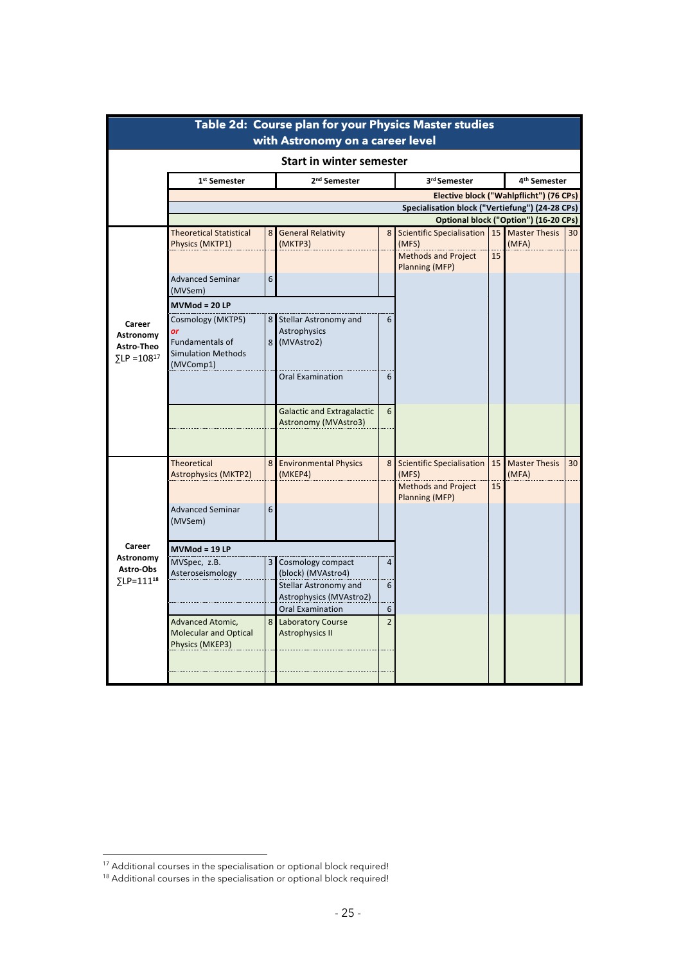| Table 2d: Course plan for your Physics Master studies<br>with Astronomy on a career level |                                                                                          |   |                                                                  |                     |                                                |    |                          |    |  |  |  |  |  |
|-------------------------------------------------------------------------------------------|------------------------------------------------------------------------------------------|---|------------------------------------------------------------------|---------------------|------------------------------------------------|----|--------------------------|----|--|--|--|--|--|
| <b>Start in winter semester</b>                                                           |                                                                                          |   |                                                                  |                     |                                                |    |                          |    |  |  |  |  |  |
|                                                                                           | 1 <sup>st</sup> Semester                                                                 |   | 2 <sup>nd</sup> Semester                                         |                     | 3rd Semester                                   |    | 4 <sup>th</sup> Semester |    |  |  |  |  |  |
|                                                                                           |                                                                                          |   |                                                                  |                     | Elective block ("Wahlpflicht") (76 CPs)        |    |                          |    |  |  |  |  |  |
|                                                                                           | Specialisation block ("Vertiefung") (24-28 CPs)<br>Optional block ("Option") (16-20 CPs) |   |                                                                  |                     |                                                |    |                          |    |  |  |  |  |  |
|                                                                                           | <b>Theoretical Statistical</b>                                                           | 8 | <b>General Relativity</b>                                        | 8                   | Scientific Specialisation   15   Master Thesis |    |                          | 30 |  |  |  |  |  |
|                                                                                           | Physics (MKTP1)                                                                          |   | (MKTP3)                                                          |                     | (MFS)                                          |    | (MFA)                    |    |  |  |  |  |  |
|                                                                                           |                                                                                          |   |                                                                  |                     | <b>Methods and Project</b>                     | 15 |                          |    |  |  |  |  |  |
|                                                                                           | <b>Advanced Seminar</b><br>(MVSem)                                                       | 6 |                                                                  |                     | Planning (MFP)                                 |    |                          |    |  |  |  |  |  |
|                                                                                           | $MVMod = 20 LP$                                                                          |   |                                                                  |                     |                                                |    |                          |    |  |  |  |  |  |
| Career<br>Astronomy<br>Astro-Theo<br>$\Sigma$ LP = 108 <sup>17</sup>                      | Cosmology (MKTP5)<br>or<br>Fundamentals of<br><b>Simulation Methods</b><br>(MVComp1)     |   | 8 Stellar Astronomy and<br>Astrophysics<br>8 (MVAstro2)          | 6                   |                                                |    |                          |    |  |  |  |  |  |
|                                                                                           |                                                                                          |   | <b>Oral Examination</b>                                          | 6                   |                                                |    |                          |    |  |  |  |  |  |
|                                                                                           |                                                                                          |   | <b>Galactic and Extragalactic</b><br>Astronomy (MVAstro3)        | 6                   |                                                |    |                          |    |  |  |  |  |  |
| Career<br>Astronomy<br>Astro-Obs<br>∑LP=111 <sup>18</sup>                                 | <b>Theoretical</b>                                                                       | 8 | <b>Environmental Physics</b>                                     | 8                   | <b>Scientific Specialisation</b>               | 15 | <b>Master Thesis</b>     | 30 |  |  |  |  |  |
|                                                                                           | <b>Astrophysics (MKTP2)</b>                                                              |   | (MKEP4)                                                          |                     | (MFS)<br>Methods and Project<br>Planning (MFP) | 15 | (MFA)                    |    |  |  |  |  |  |
|                                                                                           | <b>Advanced Seminar</b><br>(MVSem)                                                       | 6 |                                                                  |                     |                                                |    |                          |    |  |  |  |  |  |
|                                                                                           | $MVMod = 19 LP$                                                                          |   |                                                                  |                     |                                                |    |                          |    |  |  |  |  |  |
|                                                                                           | MVSpec, z.B.<br>Asteroseismology                                                         | 3 | Cosmology compact<br>(block) (MVAstro4)<br>Stellar Astronomy and | $\overline{4}$<br>6 |                                                |    |                          |    |  |  |  |  |  |
|                                                                                           |                                                                                          |   | Astrophysics (MVAstro2)<br><b>Oral Examination</b>               | 6                   |                                                |    |                          |    |  |  |  |  |  |
|                                                                                           | Advanced Atomic,<br><b>Molecular and Optical</b><br>Physics (MKEP3)                      |   | 8 Laboratory Course<br><b>Astrophysics II</b>                    | $\overline{2}$      |                                                |    |                          |    |  |  |  |  |  |
|                                                                                           |                                                                                          |   |                                                                  |                     |                                                |    |                          |    |  |  |  |  |  |

<sup>&</sup>lt;sup>17</sup> Additional courses in the specialisation or optional block required!

<sup>&</sup>lt;sup>18</sup> Additional courses in the specialisation or optional block required!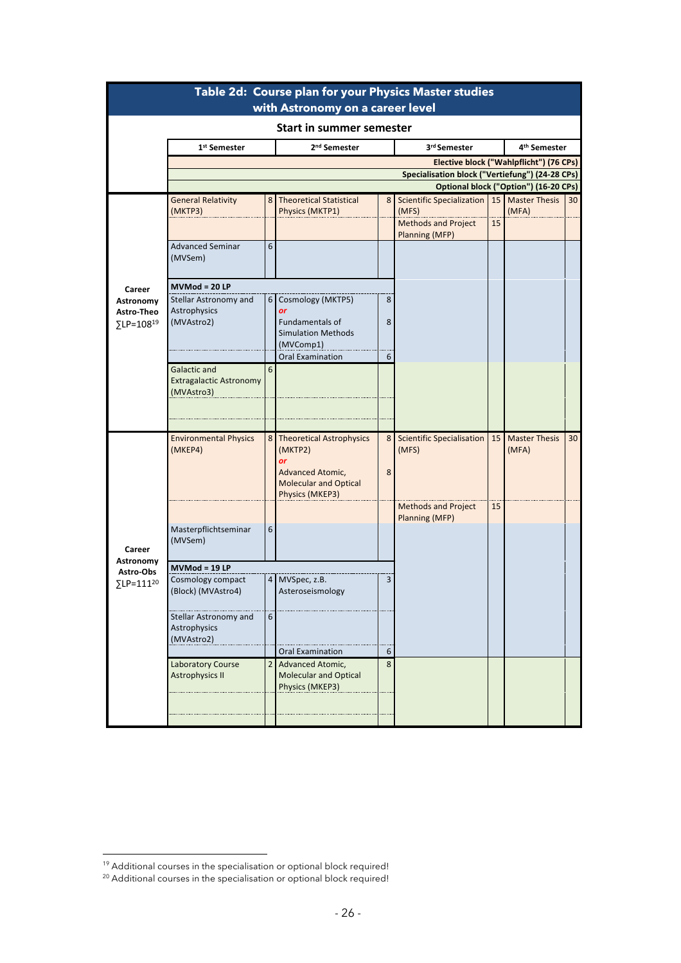| Table 2d: Course plan for your Physics Master studies<br>with Astronomy on a career level |                                                                     |   |                                                                                      |                                                                                          |                                    |    |                                         |                 |  |  |  |  |  |
|-------------------------------------------------------------------------------------------|---------------------------------------------------------------------|---|--------------------------------------------------------------------------------------|------------------------------------------------------------------------------------------|------------------------------------|----|-----------------------------------------|-----------------|--|--|--|--|--|
| <b>Start in summer semester</b>                                                           |                                                                     |   |                                                                                      |                                                                                          |                                    |    |                                         |                 |  |  |  |  |  |
|                                                                                           | 1 <sup>st</sup> Semester                                            |   | 2 <sup>nd</sup> Semester                                                             |                                                                                          | 3rd Semester                       |    | 4 <sup>th</sup> Semester                |                 |  |  |  |  |  |
|                                                                                           |                                                                     |   |                                                                                      |                                                                                          |                                    |    | Elective block ("Wahlpflicht") (76 CPs) |                 |  |  |  |  |  |
|                                                                                           |                                                                     |   |                                                                                      | Specialisation block ("Vertiefung") (24-28 CPs)<br>Optional block ("Option") (16-20 CPs) |                                    |    |                                         |                 |  |  |  |  |  |
|                                                                                           |                                                                     |   |                                                                                      |                                                                                          |                                    |    |                                         |                 |  |  |  |  |  |
|                                                                                           | <b>General Relativity</b><br>(MKTP3)                                |   | 8 Theoretical Statistical<br>Physics (MKTP1)                                         | 8                                                                                        | Scientific Specialization<br>(MFS) |    | 15 Master Thesis<br>(MFA)               | 30 <sup>1</sup> |  |  |  |  |  |
|                                                                                           |                                                                     |   |                                                                                      |                                                                                          | <b>Methods and Project</b>         | 15 |                                         |                 |  |  |  |  |  |
|                                                                                           |                                                                     |   |                                                                                      |                                                                                          | <b>Planning (MFP)</b>              |    |                                         |                 |  |  |  |  |  |
|                                                                                           | <b>Advanced Seminar</b><br>(MVSem)                                  | 6 |                                                                                      |                                                                                          |                                    |    |                                         |                 |  |  |  |  |  |
| Career                                                                                    | MVMod = 20 LP                                                       |   |                                                                                      |                                                                                          |                                    |    |                                         |                 |  |  |  |  |  |
| Astronomy                                                                                 | Stellar Astronomy and                                               |   | 6 Cosmology (MKTP5)                                                                  | 8                                                                                        |                                    |    |                                         |                 |  |  |  |  |  |
| Astro-Theo                                                                                | Astrophysics<br>(MVAstro2)                                          |   | or<br>Fundamentals of                                                                | 8                                                                                        |                                    |    |                                         |                 |  |  |  |  |  |
| ∑LP=108 <sup>19</sup>                                                                     |                                                                     |   | <b>Simulation Methods</b>                                                            |                                                                                          |                                    |    |                                         |                 |  |  |  |  |  |
|                                                                                           |                                                                     |   | (MVComp1)                                                                            |                                                                                          |                                    |    |                                         |                 |  |  |  |  |  |
|                                                                                           |                                                                     |   | <b>Oral Examination</b>                                                              | 6                                                                                        |                                    |    |                                         |                 |  |  |  |  |  |
|                                                                                           | <b>Galactic and</b><br><b>Extragalactic Astronomy</b><br>(MVAstro3) | 6 |                                                                                      |                                                                                          |                                    |    |                                         |                 |  |  |  |  |  |
|                                                                                           | <b>Environmental Physics</b>                                        |   | 8 Theoretical Astrophysics                                                           | 8                                                                                        | <b>Scientific Specialisation</b>   | 15 | <b>Master Thesis</b>                    | 30 <sup>°</sup> |  |  |  |  |  |
|                                                                                           | (MKEP4)                                                             |   | (MKTP2)<br>or<br>Advanced Atomic,<br><b>Molecular and Optical</b><br>Physics (MKEP3) | 8                                                                                        | (MFS)                              |    | (MFA)                                   |                 |  |  |  |  |  |
|                                                                                           |                                                                     |   |                                                                                      |                                                                                          | <b>Methods and Project</b>         | 15 |                                         |                 |  |  |  |  |  |
|                                                                                           | Masterpflichtseminar                                                | 6 |                                                                                      |                                                                                          | Planning (MFP)                     |    |                                         |                 |  |  |  |  |  |
|                                                                                           | (MVSem)                                                             |   |                                                                                      |                                                                                          |                                    |    |                                         |                 |  |  |  |  |  |
| Career                                                                                    |                                                                     |   |                                                                                      |                                                                                          |                                    |    |                                         |                 |  |  |  |  |  |
| Astronomy<br>Astro-Obs                                                                    | MVMod = 19 LP                                                       |   |                                                                                      |                                                                                          |                                    |    |                                         |                 |  |  |  |  |  |
| ∑LP=111 <sup>20</sup>                                                                     | Cosmology compact<br>(Block) (MVAstro4)                             | 4 | MVSpec, z.B.<br>Asteroseismology                                                     | 3                                                                                        |                                    |    |                                         |                 |  |  |  |  |  |
|                                                                                           | Stellar Astronomy and<br>Astrophysics<br>(MVAstro2)                 | 6 | <b>Oral Examination</b>                                                              | 6                                                                                        |                                    |    |                                         |                 |  |  |  |  |  |
|                                                                                           | <b>Laboratory Course</b>                                            | 2 | Advanced Atomic,                                                                     | 8                                                                                        |                                    |    |                                         |                 |  |  |  |  |  |
|                                                                                           | <b>Astrophysics II</b>                                              |   | <b>Molecular and Optical</b><br>Physics (MKEP3)                                      |                                                                                          |                                    |    |                                         |                 |  |  |  |  |  |
|                                                                                           |                                                                     |   |                                                                                      |                                                                                          |                                    |    |                                         |                 |  |  |  |  |  |

<sup>&</sup>lt;sup>19</sup> Additional courses in the specialisation or optional block required!

<sup>&</sup>lt;sup>20</sup> Additional courses in the specialisation or optional block required!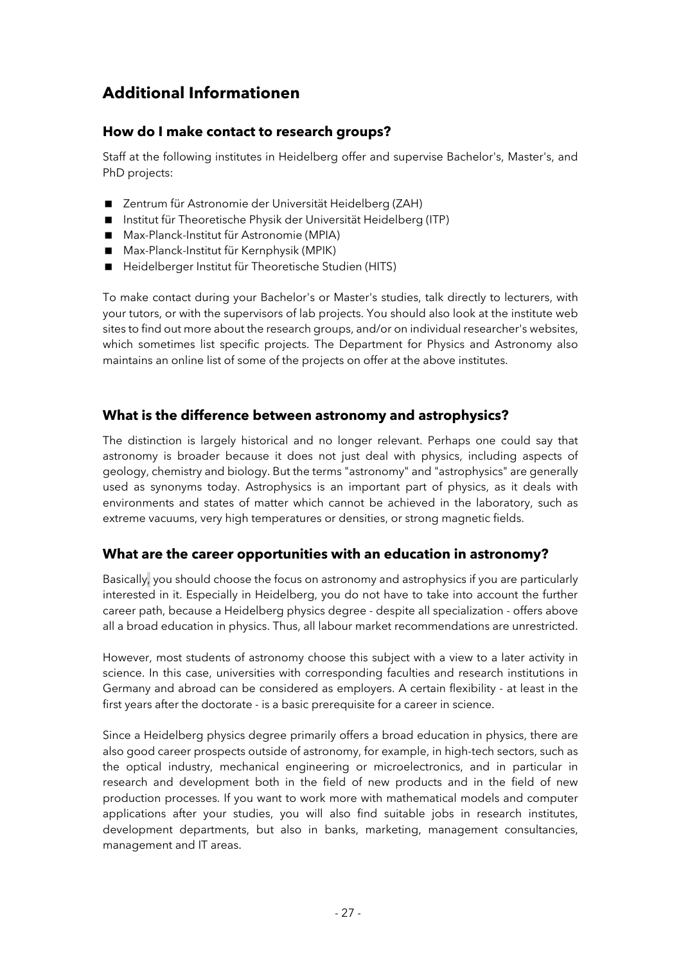### **Additional Informationen**

#### **How do I make contact to research groups?**

Staff at the following institutes in Heidelberg offer and supervise Bachelor's, Master's, and PhD projects:

- Zentrum für Astronomie der Universität Heidelberg (ZAH)
- < Institut für Theoretische Physik der Universität Heidelberg (ITP)
- Max-Planck-Institut für Astronomie (MPIA)
- Max-Planck-Institut für Kernphysik (MPIK)
- Heidelberger Institut für Theoretische Studien (HITS)

To make contact during your Bachelor's or Master's studies, talk directly to lecturers, with your tutors, or with the supervisors of lab projects. You should also look at the institute web sites to find out more about the research groups, and/or on individual researcher's websites, which sometimes list specific projects. The Department for Physics and Astronomy also maintains an online list of some of the projects on offer at the above institutes.

#### **What is the difference between astronomy and astrophysics?**

The distinction is largely historical and no longer relevant. Perhaps one could say that astronomy is broader because it does not just deal with physics, including aspects of geology, chemistry and biology. But the terms "astronomy" and "astrophysics" are generally used as synonyms today. Astrophysics is an important part of physics, as it deals with environments and states of matter which cannot be achieved in the laboratory, such as extreme vacuums, very high temperatures or densities, or strong magnetic fields.

#### **What are the career opportunities with an education in astronomy?**

Basically, you should choose the focus on astronomy and astrophysics if you are particularly interested in it. Especially in Heidelberg, you do not have to take into account the further career path, because a Heidelberg physics degree - despite all specialization - offers above all a broad education in physics. Thus, all labour market recommendations are unrestricted.

However, most students of astronomy choose this subject with a view to a later activity in science. In this case, universities with corresponding faculties and research institutions in Germany and abroad can be considered as employers. A certain flexibility - at least in the first years after the doctorate - is a basic prerequisite for a career in science.

Since a Heidelberg physics degree primarily offers a broad education in physics, there are also good career prospects outside of astronomy, for example, in high-tech sectors, such as the optical industry, mechanical engineering or microelectronics, and in particular in research and development both in the field of new products and in the field of new production processes. If you want to work more with mathematical models and computer applications after your studies, you will also find suitable jobs in research institutes, development departments, but also in banks, marketing, management consultancies, management and IT areas.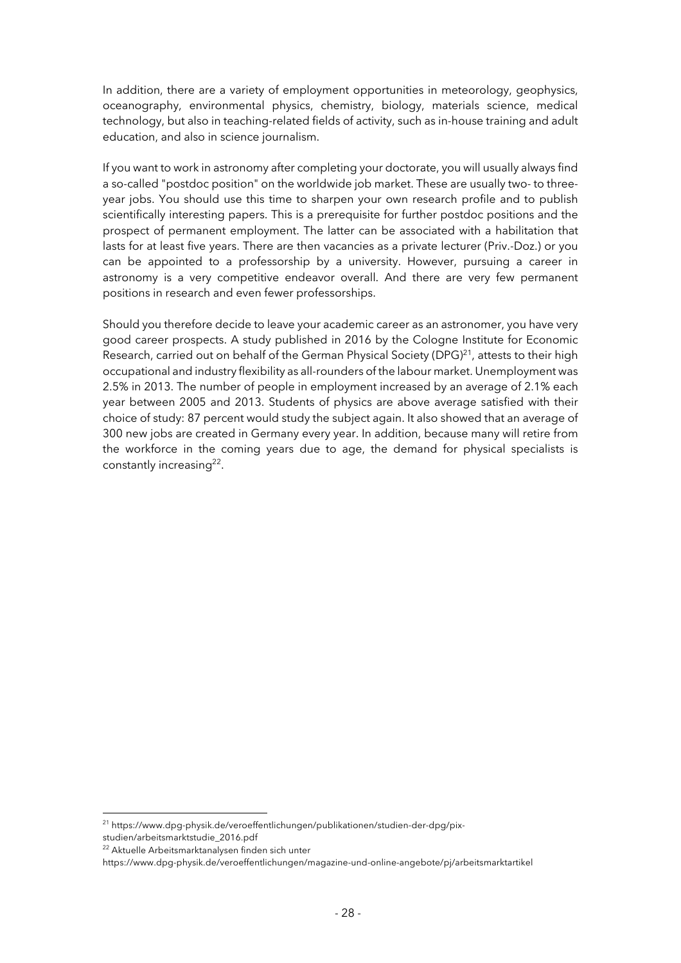In addition, there are a variety of employment opportunities in meteorology, geophysics, oceanography, environmental physics, chemistry, biology, materials science, medical technology, but also in teaching-related fields of activity, such as in-house training and adult education, and also in science journalism.

If you want to work in astronomy after completing your doctorate, you will usually always find a so-called "postdoc position" on the worldwide job market. These are usually two- to threeyear jobs. You should use this time to sharpen your own research profile and to publish scientifically interesting papers. This is a prerequisite for further postdoc positions and the prospect of permanent employment. The latter can be associated with a habilitation that lasts for at least five years. There are then vacancies as a private lecturer (Priv.-Doz.) or you can be appointed to a professorship by a university. However, pursuing a career in astronomy is a very competitive endeavor overall. And there are very few permanent positions in research and even fewer professorships.

Should you therefore decide to leave your academic career as an astronomer, you have very good career prospects. A study published in 2016 by the Cologne Institute for Economic Research, carried out on behalf of the German Physical Society (DPG) $^{21}$ , attests to their high occupational and industry flexibility as all-rounders of the labour market. Unemployment was 2.5% in 2013. The number of people in employment increased by an average of 2.1% each year between 2005 and 2013. Students of physics are above average satisfied with their choice of study: 87 percent would study the subject again. It also showed that an average of 300 new jobs are created in Germany every year. In addition, because many will retire from the workforce in the coming years due to age, the demand for physical specialists is constantly increasing<sup>22</sup>.

<sup>&</sup>lt;sup>21</sup> https://www.dpg-physik.de/veroeffentlichungen/publikationen/studien-der-dpg/pix-

studien/arbeitsmarktstudie\_2016.pdf

<sup>&</sup>lt;sup>22</sup> Aktuelle Arbeitsmarktanalysen finden sich unter

https://www.dpg-physik.de/veroeffentlichungen/magazine-und-online-angebote/pj/arbeitsmarktartikel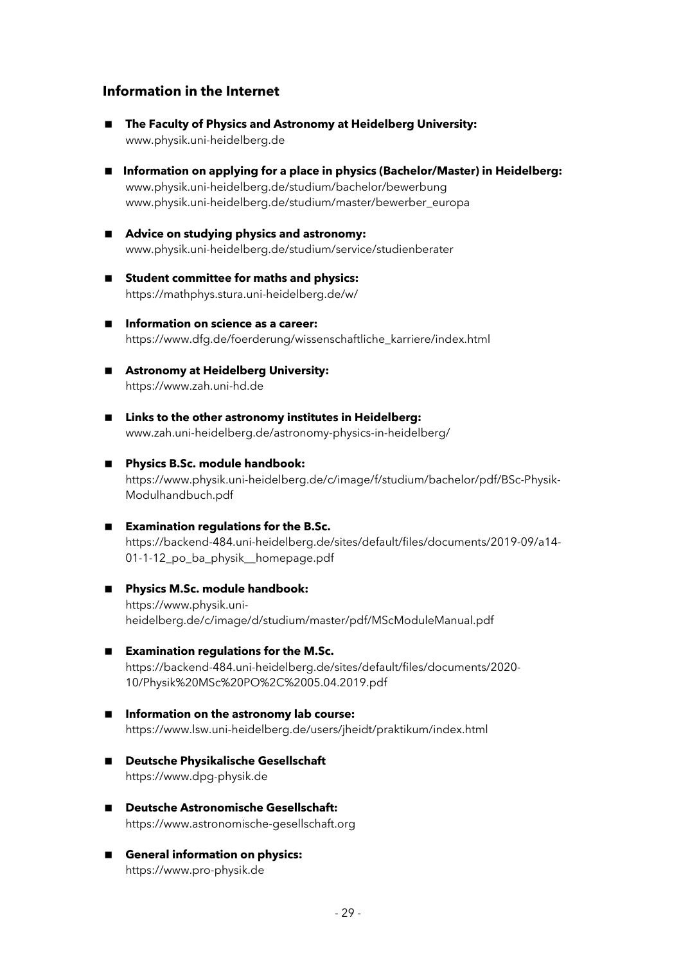#### **Information in the Internet**

- The Faculty of Physics and Astronomy at Heidelberg University: www.physik.uni-heidelberg.de
- Information on applying for a place in physics (Bachelor/Master) in Heidelberg: www.physik.uni-heidelberg.de/studium/bachelor/bewerbung www.physik.uni-heidelberg.de/studium/master/bewerber\_europa
- Advice on studying physics and astronomy: www.physik.uni-heidelberg.de/studium/service/studienberater
- Student committee for maths and physics: https://mathphys.stura.uni-heidelberg.de/w/
- Information on science as a career: https://www.dfg.de/foerderung/wissenschaftliche\_karriere/index.html
- **E** Astronomy at Heidelberg University: https://www.zah.uni-hd.de
- Links to the other astronomy institutes in Heidelberg: www.zah.uni-heidelberg.de/astronomy-physics-in-heidelberg/
- < **Physics B.Sc. module handbook:** https://www.physik.uni-heidelberg.de/c/image/f/studium/bachelor/pdf/BSc-Physik-Modulhandbuch.pdf
- **Examination regulations for the B.Sc.** https://backend-484.uni-heidelberg.de/sites/default/files/documents/2019-09/a14- 01-1-12 po ba physik homepage.pdf
- Physics M.Sc. module handbook: https://www.physik.uniheidelberg.de/c/image/d/studium/master/pdf/MScModuleManual.pdf
- **Examination regulations for the M.Sc.** https://backend-484.uni-heidelberg.de/sites/default/files/documents/2020- 10/Physik%20MSc%20PO%2C%2005.04.2019.pdf
- Information on the astronomy lab course: https://www.lsw.uni-heidelberg.de/users/jheidt/praktikum/index.html
- < **Deutsche Physikalische Gesellschaft** https://www.dpg-physik.de
- Deutsche Astronomische Gesellschaft: https://www.astronomische-gesellschaft.org
- General information on physics: https://www.pro-physik.de